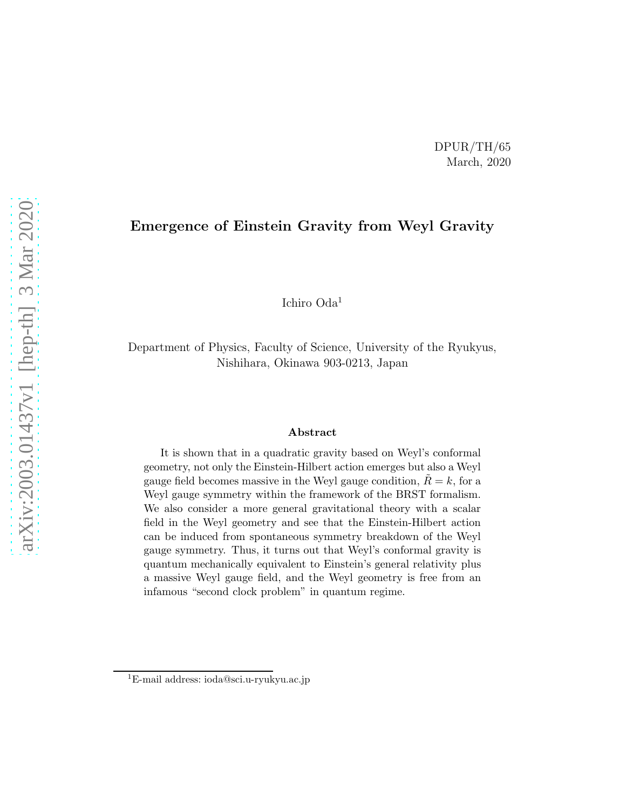#### DPUR/TH/65 March, 2020

#### Emergence of Einstein Gravity from Weyl Gravity

Ichiro Oda<sup>1</sup>

Department of Physics, Faculty of Science, University of the Ryukyus, Nishihara, Okinawa 903-0213, Japan

#### Abstract

It is shown that in a quadratic gravity based on Weyl's conformal geometry, not only the Einstein-Hilbert action emerges but also a Weyl gauge field becomes massive in the Weyl gauge condition,  $R = k$ , for a Weyl gauge symmetry within the framework of the BRST formalism. We also consider a more general gravitational theory with a scalar field in the Weyl geometry and see that the Einstein-Hilbert action can be induced from spontaneous symmetry breakdown of the Weyl gauge symmetry. Thus, it turns out that Weyl's conformal gravity is quantum mechanically equivalent to Einstein's general relativity plus a massive Weyl gauge field, and the Weyl geometry is free from an infamous "second clock problem" in quantum regime.

<sup>1</sup>E-mail address: ioda@sci.u-ryukyu.ac.jp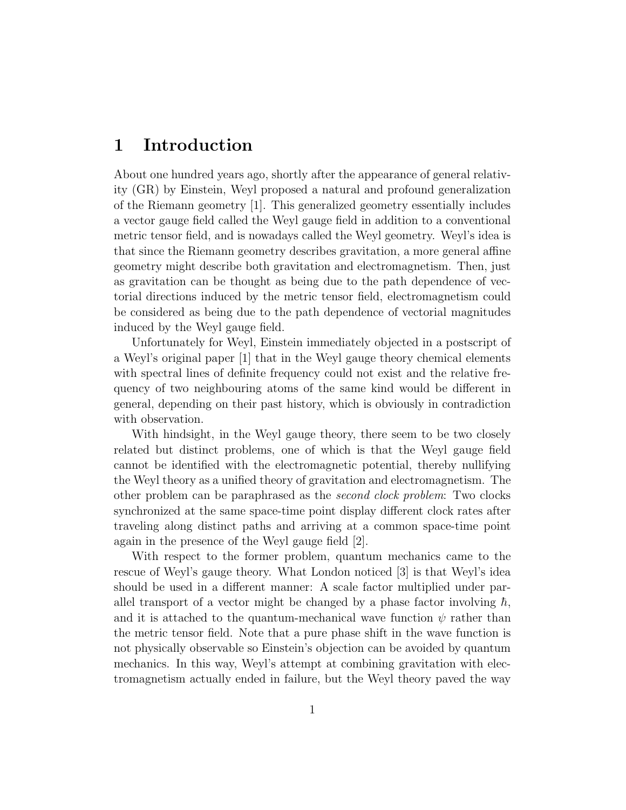#### 1 Introduction

About one hundred years ago, shortly after the appearance of general relativity (GR) by Einstein, Weyl proposed a natural and profound generalization of the Riemann geometry [1]. This generalized geometry essentially includes a vector gauge field called the Weyl gauge field in addition to a conventional metric tensor field, and is nowadays called the Weyl geometry. Weyl's idea is that since the Riemann geometry describes gravitation, a more general affine geometry might describe both gravitation and electromagnetism. Then, just as gravitation can be thought as being due to the path dependence of vectorial directions induced by the metric tensor field, electromagnetism could be considered as being due to the path dependence of vectorial magnitudes induced by the Weyl gauge field.

Unfortunately for Weyl, Einstein immediately objected in a postscript of a Weyl's original paper [1] that in the Weyl gauge theory chemical elements with spectral lines of definite frequency could not exist and the relative frequency of two neighbouring atoms of the same kind would be different in general, depending on their past history, which is obviously in contradiction with observation.

With hindsight, in the Weyl gauge theory, there seem to be two closely related but distinct problems, one of which is that the Weyl gauge field cannot be identified with the electromagnetic potential, thereby nullifying the Weyl theory as a unified theory of gravitation and electromagnetism. The other problem can be paraphrased as the second clock problem: Two clocks synchronized at the same space-time point display different clock rates after traveling along distinct paths and arriving at a common space-time point again in the presence of the Weyl gauge field [2].

With respect to the former problem, quantum mechanics came to the rescue of Weyl's gauge theory. What London noticed [3] is that Weyl's idea should be used in a different manner: A scale factor multiplied under parallel transport of a vector might be changed by a phase factor involving  $\hbar$ , and it is attached to the quantum-mechanical wave function  $\psi$  rather than the metric tensor field. Note that a pure phase shift in the wave function is not physically observable so Einstein's objection can be avoided by quantum mechanics. In this way, Weyl's attempt at combining gravitation with electromagnetism actually ended in failure, but the Weyl theory paved the way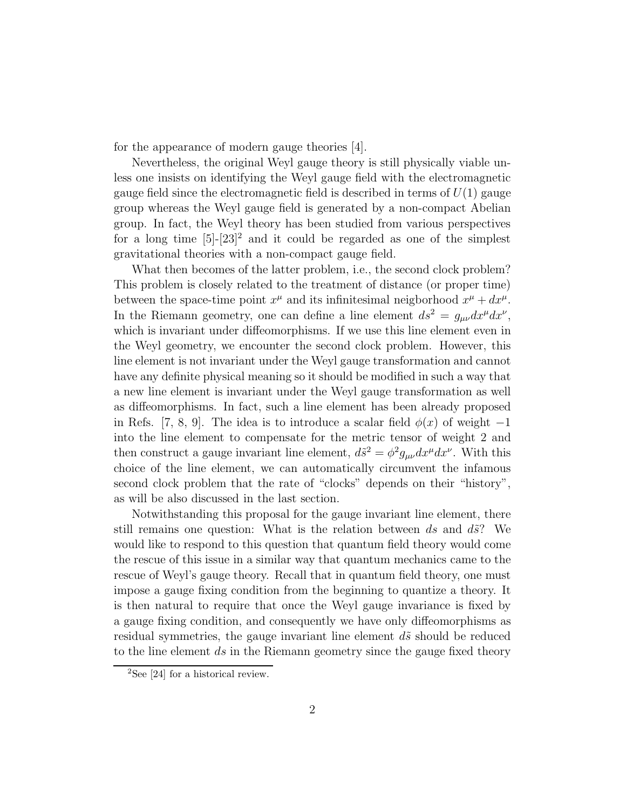for the appearance of modern gauge theories [4].

Nevertheless, the original Weyl gauge theory is still physically viable unless one insists on identifying the Weyl gauge field with the electromagnetic gauge field since the electromagnetic field is described in terms of  $U(1)$  gauge group whereas the Weyl gauge field is generated by a non-compact Abelian group. In fact, the Weyl theory has been studied from various perspectives for a long time  $[5]-[23]^2$  and it could be regarded as one of the simplest gravitational theories with a non-compact gauge field.

What then becomes of the latter problem, i.e., the second clock problem? This problem is closely related to the treatment of distance (or proper time) between the space-time point  $x^{\mu}$  and its infinitesimal neigborhood  $x^{\mu} + dx^{\mu}$ . In the Riemann geometry, one can define a line element  $ds^2 = g_{\mu\nu} dx^{\mu} dx^{\nu}$ , which is invariant under diffeomorphisms. If we use this line element even in the Weyl geometry, we encounter the second clock problem. However, this line element is not invariant under the Weyl gauge transformation and cannot have any definite physical meaning so it should be modified in such a way that a new line element is invariant under the Weyl gauge transformation as well as diffeomorphisms. In fact, such a line element has been already proposed in Refs. [7, 8, 9]. The idea is to introduce a scalar field  $\phi(x)$  of weight  $-1$ into the line element to compensate for the metric tensor of weight 2 and then construct a gauge invariant line element,  $d\tilde{s}^2 = \phi^2 g_{\mu\nu} dx^{\mu} dx^{\nu}$ . With this choice of the line element, we can automatically circumvent the infamous second clock problem that the rate of "clocks" depends on their "history", as will be also discussed in the last section.

Notwithstanding this proposal for the gauge invariant line element, there still remains one question: What is the relation between ds and  $d\tilde{s}$ ? We would like to respond to this question that quantum field theory would come the rescue of this issue in a similar way that quantum mechanics came to the rescue of Weyl's gauge theory. Recall that in quantum field theory, one must impose a gauge fixing condition from the beginning to quantize a theory. It is then natural to require that once the Weyl gauge invariance is fixed by a gauge fixing condition, and consequently we have only diffeomorphisms as residual symmetries, the gauge invariant line element  $d\tilde{s}$  should be reduced to the line element ds in the Riemann geometry since the gauge fixed theory

<sup>&</sup>lt;sup>2</sup>See [24] for a historical review.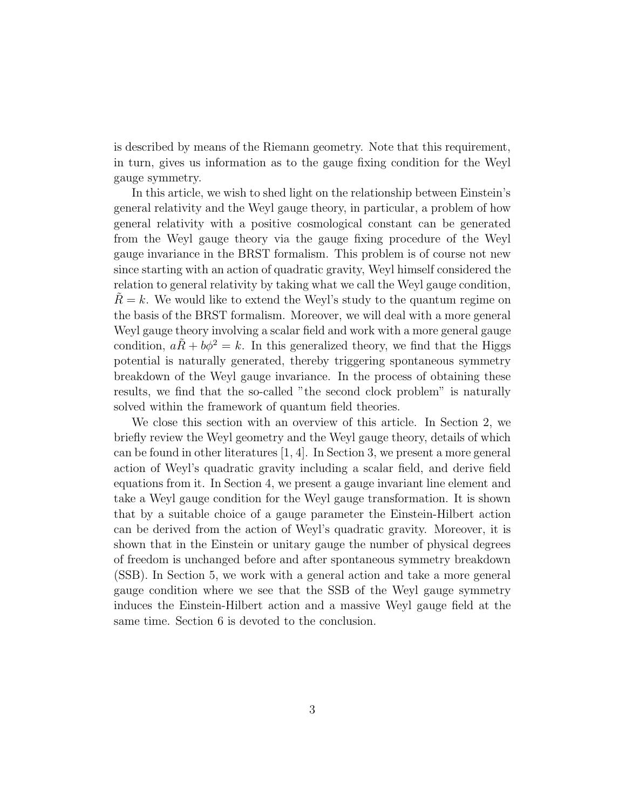is described by means of the Riemann geometry. Note that this requirement, in turn, gives us information as to the gauge fixing condition for the Weyl gauge symmetry.

In this article, we wish to shed light on the relationship between Einstein's general relativity and the Weyl gauge theory, in particular, a problem of how general relativity with a positive cosmological constant can be generated from the Weyl gauge theory via the gauge fixing procedure of the Weyl gauge invariance in the BRST formalism. This problem is of course not new since starting with an action of quadratic gravity, Weyl himself considered the relation to general relativity by taking what we call the Weyl gauge condition,  $R = k$ . We would like to extend the Weyl's study to the quantum regime on the basis of the BRST formalism. Moreover, we will deal with a more general Weyl gauge theory involving a scalar field and work with a more general gauge condition,  $a\tilde{R} + b\phi^2 = k$ . In this generalized theory, we find that the Higgs potential is naturally generated, thereby triggering spontaneous symmetry breakdown of the Weyl gauge invariance. In the process of obtaining these results, we find that the so-called "the second clock problem" is naturally solved within the framework of quantum field theories.

We close this section with an overview of this article. In Section 2, we briefly review the Weyl geometry and the Weyl gauge theory, details of which can be found in other literatures [1, 4]. In Section 3, we present a more general action of Weyl's quadratic gravity including a scalar field, and derive field equations from it. In Section 4, we present a gauge invariant line element and take a Weyl gauge condition for the Weyl gauge transformation. It is shown that by a suitable choice of a gauge parameter the Einstein-Hilbert action can be derived from the action of Weyl's quadratic gravity. Moreover, it is shown that in the Einstein or unitary gauge the number of physical degrees of freedom is unchanged before and after spontaneous symmetry breakdown (SSB). In Section 5, we work with a general action and take a more general gauge condition where we see that the SSB of the Weyl gauge symmetry induces the Einstein-Hilbert action and a massive Weyl gauge field at the same time. Section 6 is devoted to the conclusion.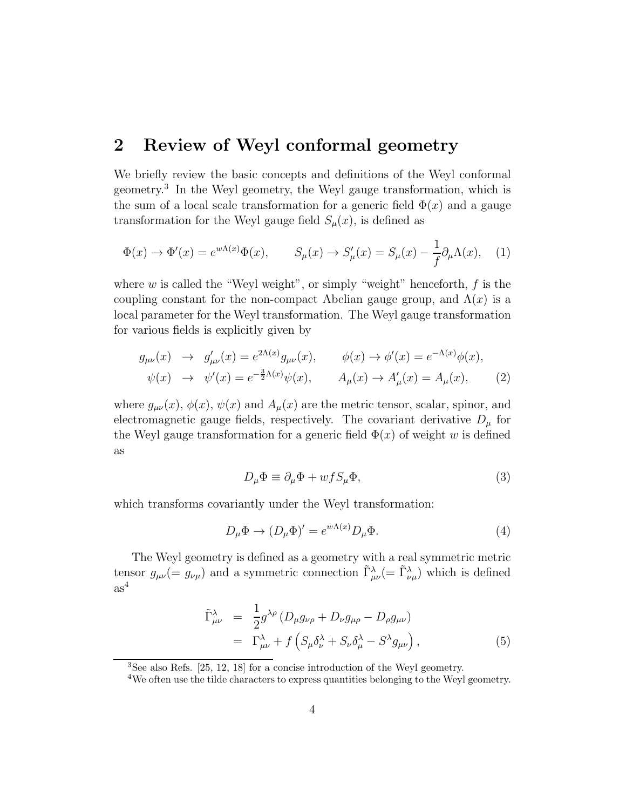### 2 Review of Weyl conformal geometry

We briefly review the basic concepts and definitions of the Weyl conformal geometry.<sup>3</sup> In the Weyl geometry, the Weyl gauge transformation, which is the sum of a local scale transformation for a generic field  $\Phi(x)$  and a gauge transformation for the Weyl gauge field  $S_{\mu}(x)$ , is defined as

$$
\Phi(x) \to \Phi'(x) = e^{w\Lambda(x)}\Phi(x), \qquad S_{\mu}(x) \to S_{\mu}'(x) = S_{\mu}(x) - \frac{1}{f}\partial_{\mu}\Lambda(x), \quad (1)
$$

where  $w$  is called the "Weyl weight", or simply "weight" henceforth,  $f$  is the coupling constant for the non-compact Abelian gauge group, and  $\Lambda(x)$  is a local parameter for the Weyl transformation. The Weyl gauge transformation for various fields is explicitly given by

$$
g_{\mu\nu}(x) \rightarrow g'_{\mu\nu}(x) = e^{2\Lambda(x)} g_{\mu\nu}(x), \qquad \phi(x) \rightarrow \phi'(x) = e^{-\Lambda(x)} \phi(x),
$$
  

$$
\psi(x) \rightarrow \psi'(x) = e^{-\frac{3}{2}\Lambda(x)} \psi(x), \qquad A_{\mu}(x) \rightarrow A'_{\mu}(x) = A_{\mu}(x), \qquad (2)
$$

where  $g_{\mu\nu}(x)$ ,  $\phi(x)$ ,  $\psi(x)$  and  $A_{\mu}(x)$  are the metric tensor, scalar, spinor, and electromagnetic gauge fields, respectively. The covariant derivative  $D_{\mu}$  for the Weyl gauge transformation for a generic field  $\Phi(x)$  of weight w is defined as

$$
D_{\mu}\Phi \equiv \partial_{\mu}\Phi + wfS_{\mu}\Phi,
$$
\n(3)

which transforms covariantly under the Weyl transformation:

$$
D_{\mu}\Phi \to (D_{\mu}\Phi)' = e^{w\Lambda(x)}D_{\mu}\Phi.
$$
 (4)

The Weyl geometry is defined as a geometry with a real symmetric metric tensor  $g_{\mu\nu} (= g_{\nu\mu})$  and a symmetric connection  $\tilde{\Gamma}^{\lambda}_{\mu\nu} (= \tilde{\Gamma}^{\lambda}_{\nu\mu})$  which is defined  $\rm{as}^4$ 

$$
\tilde{\Gamma}^{\lambda}_{\mu\nu} = \frac{1}{2} g^{\lambda\rho} \left( D_{\mu} g_{\nu\rho} + D_{\nu} g_{\mu\rho} - D_{\rho} g_{\mu\nu} \right) \n= \Gamma^{\lambda}_{\mu\nu} + f \left( S_{\mu} \delta^{\lambda}_{\nu} + S_{\nu} \delta^{\lambda}_{\mu} - S^{\lambda} g_{\mu\nu} \right),
$$
\n(5)

<sup>3</sup>See also Refs. [25, 12, 18] for a concise introduction of the Weyl geometry.

<sup>&</sup>lt;sup>4</sup>We often use the tilde characters to express quantities belonging to the Weyl geometry.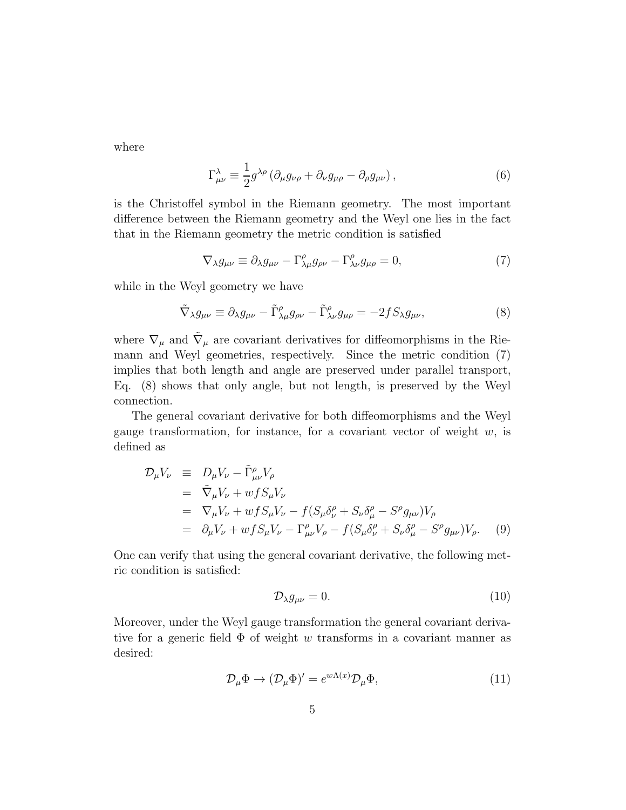where

$$
\Gamma^{\lambda}_{\mu\nu} \equiv \frac{1}{2} g^{\lambda\rho} \left( \partial_{\mu} g_{\nu\rho} + \partial_{\nu} g_{\mu\rho} - \partial_{\rho} g_{\mu\nu} \right), \tag{6}
$$

is the Christoffel symbol in the Riemann geometry. The most important difference between the Riemann geometry and the Weyl one lies in the fact that in the Riemann geometry the metric condition is satisfied

$$
\nabla_{\lambda} g_{\mu\nu} \equiv \partial_{\lambda} g_{\mu\nu} - \Gamma^{\rho}_{\lambda\mu} g_{\rho\nu} - \Gamma^{\rho}_{\lambda\nu} g_{\mu\rho} = 0, \tag{7}
$$

while in the Weyl geometry we have

$$
\tilde{\nabla}_{\lambda} g_{\mu\nu} \equiv \partial_{\lambda} g_{\mu\nu} - \tilde{\Gamma}^{\rho}_{\lambda\mu} g_{\rho\nu} - \tilde{\Gamma}^{\rho}_{\lambda\nu} g_{\mu\rho} = -2f S_{\lambda} g_{\mu\nu},\tag{8}
$$

where  $\nabla_{\mu}$  and  $\tilde{\nabla}_{\mu}$  are covariant derivatives for diffeomorphisms in the Riemann and Weyl geometries, respectively. Since the metric condition (7) implies that both length and angle are preserved under parallel transport, Eq. (8) shows that only angle, but not length, is preserved by the Weyl connection.

The general covariant derivative for both diffeomorphisms and the Weyl gauge transformation, for instance, for a covariant vector of weight  $w$ , is defined as

$$
\mathcal{D}_{\mu}V_{\nu} \equiv D_{\mu}V_{\nu} - \tilde{\Gamma}^{\rho}_{\mu\nu}V_{\rho}
$$
  
\n
$$
= \tilde{\nabla}_{\mu}V_{\nu} + wfS_{\mu}V_{\nu}
$$
  
\n
$$
= \nabla_{\mu}V_{\nu} + wfS_{\mu}V_{\nu} - f(S_{\mu}\delta^{\rho}_{\nu} + S_{\nu}\delta^{\rho}_{\mu} - S^{\rho}g_{\mu\nu})V_{\rho}
$$
  
\n
$$
= \partial_{\mu}V_{\nu} + wfS_{\mu}V_{\nu} - \Gamma^{\rho}_{\mu\nu}V_{\rho} - f(S_{\mu}\delta^{\rho}_{\nu} + S_{\nu}\delta^{\rho}_{\mu} - S^{\rho}g_{\mu\nu})V_{\rho}. \quad (9)
$$

One can verify that using the general covariant derivative, the following metric condition is satisfied:

$$
\mathcal{D}_{\lambda}g_{\mu\nu}=0.\tag{10}
$$

Moreover, under the Weyl gauge transformation the general covariant derivative for a generic field  $\Phi$  of weight w transforms in a covariant manner as desired:

$$
\mathcal{D}_{\mu}\Phi \to (\mathcal{D}_{\mu}\Phi)' = e^{w\Lambda(x)}\mathcal{D}_{\mu}\Phi,
$$
\n(11)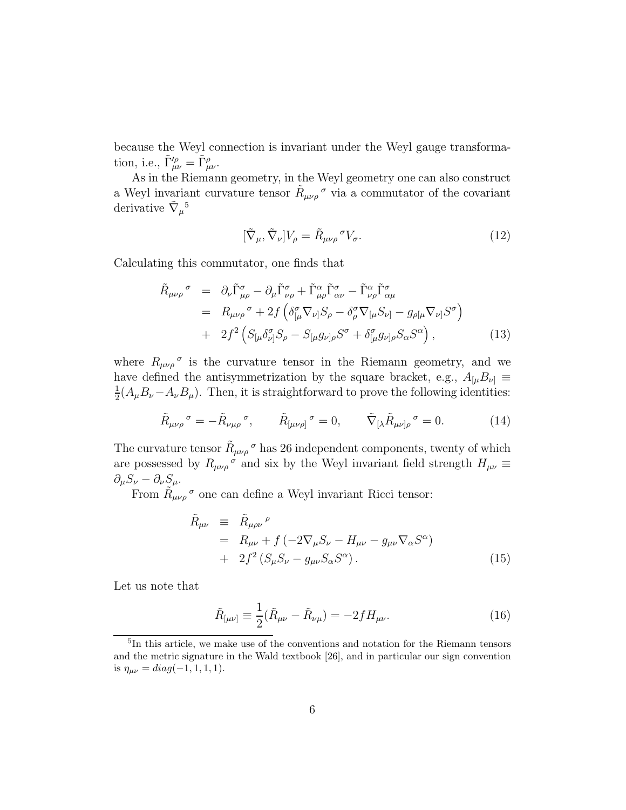because the Weyl connection is invariant under the Weyl gauge transformation, i.e.,  $\tilde{\Gamma}^{\prime \rho}_{\mu \nu} = \tilde{\Gamma}^{\rho}_{\mu \nu}$ .

As in the Riemann geometry, in the Weyl geometry one can also construct a Weyl invariant curvature tensor  $\tilde{R}_{\mu\nu\rho}^{\,\sigma}$  via a commutator of the covariant derivative  $\tilde{\nabla}_{\mu}^{5}$ 

$$
[\tilde{\nabla}_{\mu}, \tilde{\nabla}_{\nu}] V_{\rho} = \tilde{R}_{\mu\nu\rho}{}^{\sigma} V_{\sigma}.
$$
\n(12)

Calculating this commutator, one finds that

$$
\tilde{R}_{\mu\nu\rho}^{\sigma} = \partial_{\nu}\tilde{\Gamma}^{\sigma}_{\mu\rho} - \partial_{\mu}\tilde{\Gamma}^{\sigma}_{\nu\rho} + \tilde{\Gamma}^{\alpha}_{\mu\rho}\tilde{\Gamma}^{\sigma}_{\alpha\nu} - \tilde{\Gamma}^{\alpha}_{\nu\rho}\tilde{\Gamma}^{\sigma}_{\alpha\mu} \n= R_{\mu\nu\rho}^{\sigma} + 2f \left( \delta^{\sigma}_{[\mu} \nabla_{\nu]} S_{\rho} - \delta^{\sigma}_{\rho} \nabla_{[\mu} S_{\nu]} - g_{\rho[\mu} \nabla_{\nu]} S^{\sigma} \right) \n+ 2f^{2} \left( S_{[\mu} \delta^{\sigma}_{\nu]} S_{\rho} - S_{[\mu} g_{\nu] \rho} S^{\sigma} + \delta^{\sigma}_{[\mu} g_{\nu] \rho} S_{\alpha} S^{\alpha} \right),
$$
\n(13)

where  $R_{\mu\nu\rho}^{\sigma}$  is the curvature tensor in the Riemann geometry, and we have defined the antisymmetrization by the square bracket, e.g.,  $A_{\mu}B_{\nu}$  = 1  $\frac{1}{2}(A_{\mu}B_{\nu}-A_{\nu}B_{\mu})$ . Then, it is straightforward to prove the following identities:

$$
\tilde{R}_{\mu\nu\rho}{}^{\sigma} = -\tilde{R}_{\nu\mu\rho}{}^{\sigma}, \qquad \tilde{R}_{[\mu\nu\rho]}{}^{\sigma} = 0, \qquad \tilde{\nabla}_{[\lambda}\tilde{R}_{\mu\nu]\rho}{}^{\sigma} = 0. \tag{14}
$$

The curvature tensor  $\tilde{R}_{\mu\nu\rho}^{\,\,\sigma}$  has 26 independent components, twenty of which are possessed by  $R_{\mu\nu\rho}^{\qquad \sigma}$  and six by the Weyl invariant field strength  $H_{\mu\nu}$   $\equiv$  $\partial_\mu S_\nu - \partial_\nu S_\mu.$ 

From  $\tilde{R}_{\mu\nu\rho}^{\dagger}$ <sup> $\sigma$ </sup> one can define a Weyl invariant Ricci tensor:

$$
\tilde{R}_{\mu\nu} \equiv \tilde{R}_{\mu\rho\nu}{}^{\rho} \n= R_{\mu\nu} + f \left( -2\nabla_{\mu}S_{\nu} - H_{\mu\nu} - g_{\mu\nu}\nabla_{\alpha}S^{\alpha} \right) \n+ 2f^{2} \left( S_{\mu}S_{\nu} - g_{\mu\nu}S_{\alpha}S^{\alpha} \right).
$$
\n(15)

Let us note that

$$
\tilde{R}_{[\mu\nu]} \equiv \frac{1}{2} (\tilde{R}_{\mu\nu} - \tilde{R}_{\nu\mu}) = -2f H_{\mu\nu}.
$$
\n(16)

<sup>5</sup> In this article, we make use of the conventions and notation for the Riemann tensors and the metric signature in the Wald textbook [26], and in particular our sign convention is  $\eta_{\mu\nu} = diag(-1, 1, 1, 1).$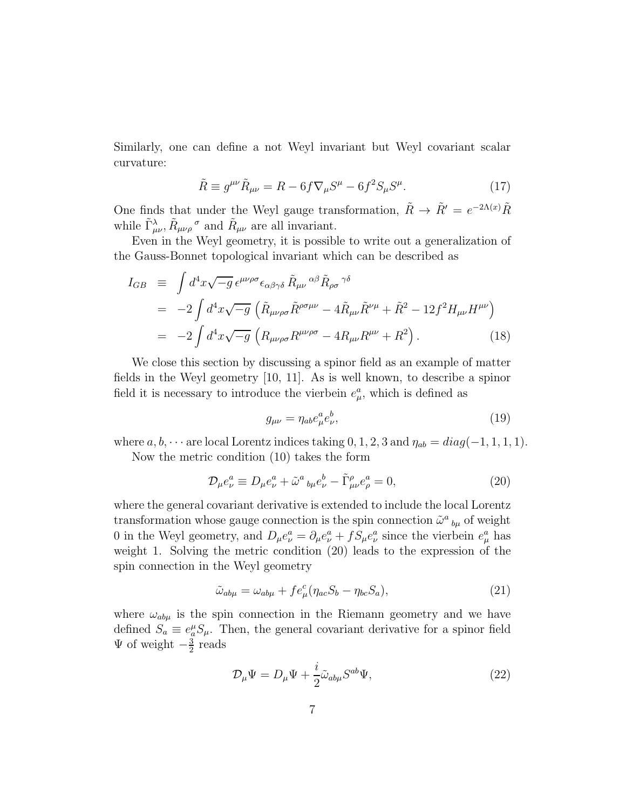Similarly, one can define a not Weyl invariant but Weyl covariant scalar curvature:

$$
\tilde{R} \equiv g^{\mu\nu}\tilde{R}_{\mu\nu} = R - 6f\nabla_{\mu}S^{\mu} - 6f^2S_{\mu}S^{\mu}.
$$
\n(17)

One finds that under the Weyl gauge transformation,  $\tilde{R} \to \tilde{R}' = e^{-2\Lambda(x)} \tilde{R}$ while  $\tilde{\Gamma}^{\lambda}_{\mu\nu}$ ,  $\tilde{R}_{\mu\nu\rho}^{\ \sigma}$  and  $\tilde{R}_{\mu\nu}$  are all invariant.

Even in the Weyl geometry, it is possible to write out a generalization of the Gauss-Bonnet topological invariant which can be described as

$$
I_{GB} \equiv \int d^4x \sqrt{-g} \,\epsilon^{\mu\nu\rho\sigma} \epsilon_{\alpha\beta\gamma\delta} \tilde{R}_{\mu\nu}{}^{\alpha\beta} \tilde{R}_{\rho\sigma}{}^{\gamma\delta}
$$
  
= 
$$
-2 \int d^4x \sqrt{-g} \left( \tilde{R}_{\mu\nu\rho\sigma} \tilde{R}^{\rho\sigma\mu\nu} - 4 \tilde{R}_{\mu\nu} \tilde{R}^{\nu\mu} + \tilde{R}^2 - 12 f^2 H_{\mu\nu} H^{\mu\nu} \right)
$$
  
= 
$$
-2 \int d^4x \sqrt{-g} \left( R_{\mu\nu\rho\sigma} R^{\mu\nu\rho\sigma} - 4 R_{\mu\nu} R^{\mu\nu} + R^2 \right).
$$
 (18)

We close this section by discussing a spinor field as an example of matter fields in the Weyl geometry [10, 11]. As is well known, to describe a spinor field it is necessary to introduce the vierbein  $e^a_\mu$ , which is defined as

$$
g_{\mu\nu} = \eta_{ab} e^a_\mu e^b_\nu,\tag{19}
$$

where  $a, b, \dots$  are local Lorentz indices taking  $0, 1, 2, 3$  and  $\eta_{ab} = diag(-1, 1, 1, 1)$ .

Now the metric condition (10) takes the form

$$
\mathcal{D}_{\mu}e_{\nu}^{a} \equiv D_{\mu}e_{\nu}^{a} + \tilde{\omega}^{a}{}_{b\mu}e_{\nu}^{b} - \tilde{\Gamma}_{\mu\nu}^{\rho}e_{\rho}^{a} = 0, \qquad (20)
$$

where the general covariant derivative is extended to include the local Lorentz transformation whose gauge connection is the spin connection  $\tilde{\omega}^a{}_{b\mu}$  of weight 0 in the Weyl geometry, and  $D_{\mu}e_{\nu}^{a} = \partial_{\mu}e_{\nu}^{a} + fS_{\mu}e_{\nu}^{a}$  since the vierbein  $e_{\mu}^{a}$  has weight 1. Solving the metric condition (20) leads to the expression of the spin connection in the Weyl geometry

$$
\tilde{\omega}_{ab\mu} = \omega_{ab\mu} + f e^c_\mu (\eta_{ac} S_b - \eta_{bc} S_a),\tag{21}
$$

where  $\omega_{ab\mu}$  is the spin connection in the Riemann geometry and we have defined  $S_a \equiv e^{\mu}_a S_{\mu}$ . Then, the general covariant derivative for a spinor field  $\Psi$  of weight  $-\frac{3}{2}$  $rac{3}{2}$  reads

$$
\mathcal{D}_{\mu}\Psi = D_{\mu}\Psi + \frac{i}{2}\tilde{\omega}_{ab\mu}S^{ab}\Psi,
$$
\n(22)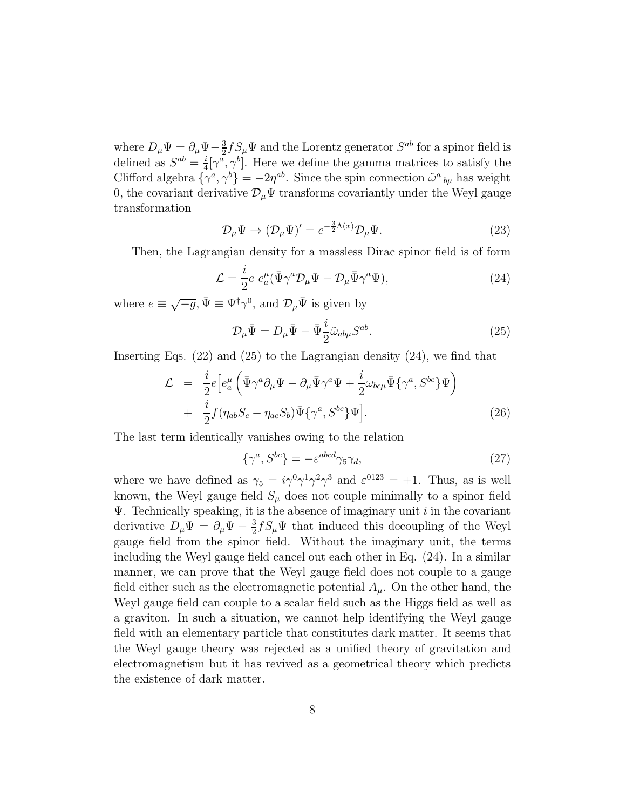where  $D_{\mu}\Psi = \partial_{\mu}\Psi - \frac{3}{2}$  $\frac{3}{2} f S_{\mu} \Psi$  and the Lorentz generator  $S^{ab}$  for a spinor field is defined as  $S^{ab} = \frac{i}{4}$  $\frac{i}{4}[\gamma^a,\gamma^b]$ . Here we define the gamma matrices to satisfy the Clifford algebra  $\{\gamma^a, \gamma^b\} = -2\eta^{ab}$ . Since the spin connection  $\tilde{\omega}^a{}_{b\mu}$  has weight 0, the covariant derivative  $\mathcal{D}_{\mu}\Psi$  transforms covariantly under the Weyl gauge transformation

$$
\mathcal{D}_{\mu}\Psi \to (\mathcal{D}_{\mu}\Psi)' = e^{-\frac{3}{2}\Lambda(x)}\mathcal{D}_{\mu}\Psi.
$$
\n(23)

Then, the Lagrangian density for a massless Dirac spinor field is of form

$$
\mathcal{L} = \frac{i}{2} e \; e_a^{\mu} (\bar{\Psi} \gamma^a \mathcal{D}_{\mu} \Psi - \mathcal{D}_{\mu} \bar{\Psi} \gamma^a \Psi), \tag{24}
$$

where  $e \equiv \sqrt{-g}, \bar{\Psi} \equiv \Psi^{\dagger} \gamma^0$ , and  $\mathcal{D}_{\mu} \bar{\Psi}$  is given by

$$
\mathcal{D}_{\mu}\bar{\Psi} = D_{\mu}\bar{\Psi} - \bar{\Psi}\frac{i}{2}\tilde{\omega}_{ab\mu}S^{ab}.
$$
\n(25)

Inserting Eqs. (22) and (25) to the Lagrangian density (24), we find that

$$
\mathcal{L} = \frac{i}{2} e \Big[ e_a^{\mu} \Big( \bar{\Psi} \gamma^a \partial_{\mu} \Psi - \partial_{\mu} \bar{\Psi} \gamma^a \Psi + \frac{i}{2} \omega_{bc \mu} \bar{\Psi} \{ \gamma^a, S^{bc} \} \Psi \Big) + \frac{i}{2} f (\eta_{ab} S_c - \eta_{ac} S_b) \bar{\Psi} \{ \gamma^a, S^{bc} \} \Psi \Big].
$$
 (26)

The last term identically vanishes owing to the relation

$$
\{\gamma^a, S^{bc}\} = -\varepsilon^{abcd}\gamma_5\gamma_d,\tag{27}
$$

where we have defined as  $\gamma_5 = i\gamma^0\gamma^1\gamma^2\gamma^3$  and  $\varepsilon^{0123} = +1$ . Thus, as is well known, the Weyl gauge field  $S_{\mu}$  does not couple minimally to a spinor field  $\Psi$ . Technically speaking, it is the absence of imaginary unit i in the covariant derivative  $D_{\mu}\Psi = \partial_{\mu}\Psi - \frac{3}{2}$  $\frac{3}{2} f S_{\mu} \Psi$  that induced this decoupling of the Weyl gauge field from the spinor field. Without the imaginary unit, the terms including the Weyl gauge field cancel out each other in Eq. (24). In a similar manner, we can prove that the Weyl gauge field does not couple to a gauge field either such as the electromagnetic potential  $A_\mu$ . On the other hand, the Weyl gauge field can couple to a scalar field such as the Higgs field as well as a graviton. In such a situation, we cannot help identifying the Weyl gauge field with an elementary particle that constitutes dark matter. It seems that the Weyl gauge theory was rejected as a unified theory of gravitation and electromagnetism but it has revived as a geometrical theory which predicts the existence of dark matter.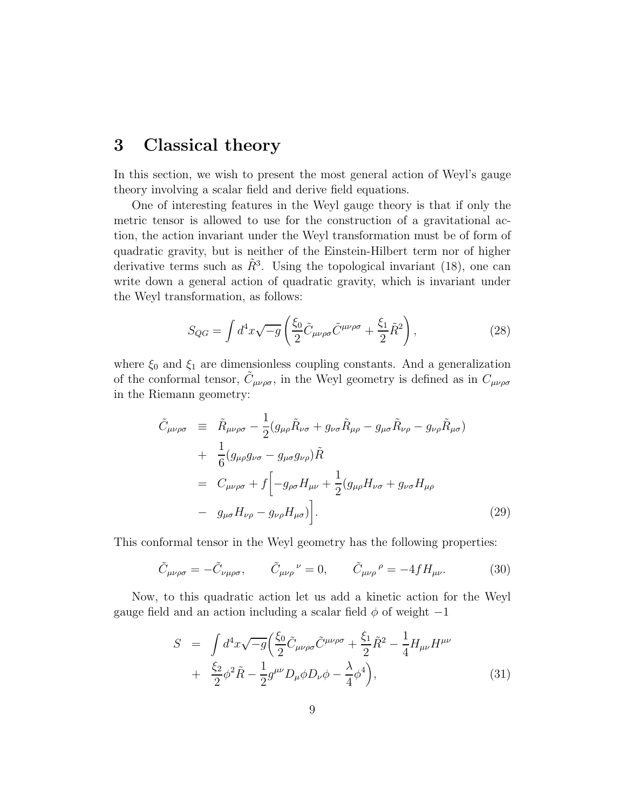#### 3 Classical theory

In this section, we wish to present the most general action of Weyl's gauge theory involving a scalar field and derive field equations.

One of interesting features in the Weyl gauge theory is that if only the metric tensor is allowed to use for the construction of a gravitational action, the action invariant under the Weyl transformation must be of form of quadratic gravity, but is neither of the Einstein-Hilbert term nor of higher derivative terms such as  $\tilde{R}^3$ . Using the topological invariant (18), one can write down a general action of quadratic gravity, which is invariant under the Weyl transformation, as follows:

$$
S_{QG} = \int d^4x \sqrt{-g} \left( \frac{\xi_0}{2} \tilde{C}_{\mu\nu\rho\sigma} \tilde{C}^{\mu\nu\rho\sigma} + \frac{\xi_1}{2} \tilde{R}^2 \right), \tag{28}
$$

where  $\xi_0$  and  $\xi_1$  are dimensionless coupling constants. And a generalization of the conformal tensor,  $\tilde{C}_{\mu\nu\rho\sigma}$ , in the Weyl geometry is defined as in  $C_{\mu\nu\rho\sigma}$ in the Riemann geometry:

$$
\tilde{C}_{\mu\nu\rho\sigma} \equiv \tilde{R}_{\mu\nu\rho\sigma} - \frac{1}{2} (g_{\mu\rho} \tilde{R}_{\nu\sigma} + g_{\nu\sigma} \tilde{R}_{\mu\rho} - g_{\mu\sigma} \tilde{R}_{\nu\rho} - g_{\nu\rho} \tilde{R}_{\mu\sigma}) \n+ \frac{1}{6} (g_{\mu\rho} g_{\nu\sigma} - g_{\mu\sigma} g_{\nu\rho}) \tilde{R} \n= C_{\mu\nu\rho\sigma} + f \left[ -g_{\rho\sigma} H_{\mu\nu} + \frac{1}{2} (g_{\mu\rho} H_{\nu\sigma} + g_{\nu\sigma} H_{\mu\rho} - g_{\mu\sigma} H_{\nu\rho} - g_{\nu\rho} H_{\mu\sigma}) \right].
$$
\n(29)

This conformal tensor in the Weyl geometry has the following properties:

$$
\tilde{C}_{\mu\nu\rho\sigma} = -\tilde{C}_{\nu\mu\rho\sigma}, \qquad \tilde{C}_{\mu\nu\rho}{}^{\nu} = 0, \qquad \tilde{C}_{\mu\nu\rho}{}^{\rho} = -4fH_{\mu\nu}.
$$
 (30)

Now, to this quadratic action let us add a kinetic action for the Weyl gauge field and an action including a scalar field  $\phi$  of weight  $-1$ 

$$
S = \int d^4x \sqrt{-g} \left( \frac{\xi_0}{2} \tilde{C}_{\mu\nu\rho\sigma} \tilde{C}^{\mu\nu\rho\sigma} + \frac{\xi_1}{2} \tilde{R}^2 - \frac{1}{4} H_{\mu\nu} H^{\mu\nu} + \frac{\xi_2}{2} \phi^2 \tilde{R} - \frac{1}{2} g^{\mu\nu} D_\mu \phi D_\nu \phi - \frac{\lambda}{4} \phi^4 \right), \tag{31}
$$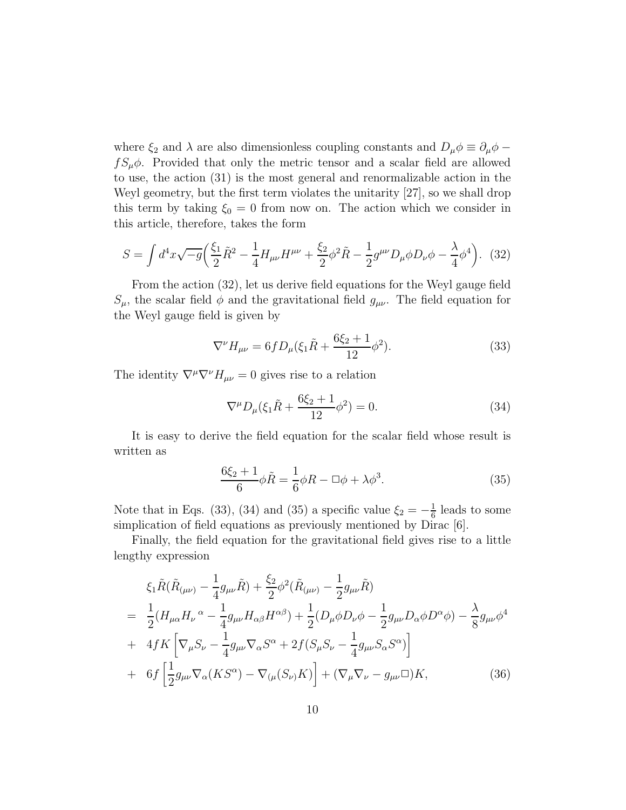where  $\xi_2$  and  $\lambda$  are also dimensionless coupling constants and  $D_\mu \phi \equiv \partial_\mu \phi - \partial_\mu \phi$  $fS_{\mu}\phi$ . Provided that only the metric tensor and a scalar field are allowed to use, the action (31) is the most general and renormalizable action in the Weyl geometry, but the first term violates the unitarity [27], so we shall drop this term by taking  $\xi_0 = 0$  from now on. The action which we consider in this article, therefore, takes the form

$$
S = \int d^4x \sqrt{-g} \left( \frac{\xi_1}{2} \tilde{R}^2 - \frac{1}{4} H_{\mu\nu} H^{\mu\nu} + \frac{\xi_2}{2} \phi^2 \tilde{R} - \frac{1}{2} g^{\mu\nu} D_\mu \phi D_\nu \phi - \frac{\lambda}{4} \phi^4 \right). (32)
$$

From the action (32), let us derive field equations for the Weyl gauge field  $S_{\mu}$ , the scalar field  $\phi$  and the gravitational field  $g_{\mu\nu}$ . The field equation for the Weyl gauge field is given by

$$
\nabla^{\nu} H_{\mu\nu} = 6f D_{\mu} (\xi_1 \tilde{R} + \frac{6\xi_2 + 1}{12} \phi^2).
$$
 (33)

The identity  $\nabla^{\mu}\nabla^{\nu}H_{\mu\nu}=0$  gives rise to a relation

$$
\nabla^{\mu}D_{\mu}(\xi_1\tilde{R} + \frac{6\xi_2 + 1}{12}\phi^2) = 0.
$$
 (34)

It is easy to derive the field equation for the scalar field whose result is written as

$$
\frac{6\xi_2 + 1}{6}\phi \tilde{R} = \frac{1}{6}\phi R - \Box\phi + \lambda\phi^3.
$$
\n(35)

Note that in Eqs. (33), (34) and (35) a specific value  $\xi_2 = -\frac{1}{6}$  $\frac{1}{6}$  leads to some simplication of field equations as previously mentioned by Dirac  $\vert 6 \vert$ .

Finally, the field equation for the gravitational field gives rise to a little lengthy expression

$$
\xi_{1}\tilde{R}(\tilde{R}_{(\mu\nu)} - \frac{1}{4}g_{\mu\nu}\tilde{R}) + \frac{\xi_{2}}{2}\phi^{2}(\tilde{R}_{(\mu\nu)} - \frac{1}{2}g_{\mu\nu}\tilde{R})
$$
\n
$$
= \frac{1}{2}(H_{\mu\alpha}H_{\nu}{}^{\alpha} - \frac{1}{4}g_{\mu\nu}H_{\alpha\beta}H^{\alpha\beta}) + \frac{1}{2}(D_{\mu}\phi D_{\nu}\phi - \frac{1}{2}g_{\mu\nu}D_{\alpha}\phi D^{\alpha}\phi) - \frac{\lambda}{8}g_{\mu\nu}\phi^{4}
$$
\n
$$
+ 4fK\left[\nabla_{\mu}S_{\nu} - \frac{1}{4}g_{\mu\nu}\nabla_{\alpha}S^{\alpha} + 2f(S_{\mu}S_{\nu} - \frac{1}{4}g_{\mu\nu}S_{\alpha}S^{\alpha})\right]
$$
\n
$$
+ 6f\left[\frac{1}{2}g_{\mu\nu}\nabla_{\alpha}(KS^{\alpha}) - \nabla_{(\mu}(S_{\nu)}K)\right] + (\nabla_{\mu}\nabla_{\nu} - g_{\mu\nu}\Box)K,
$$
\n(36)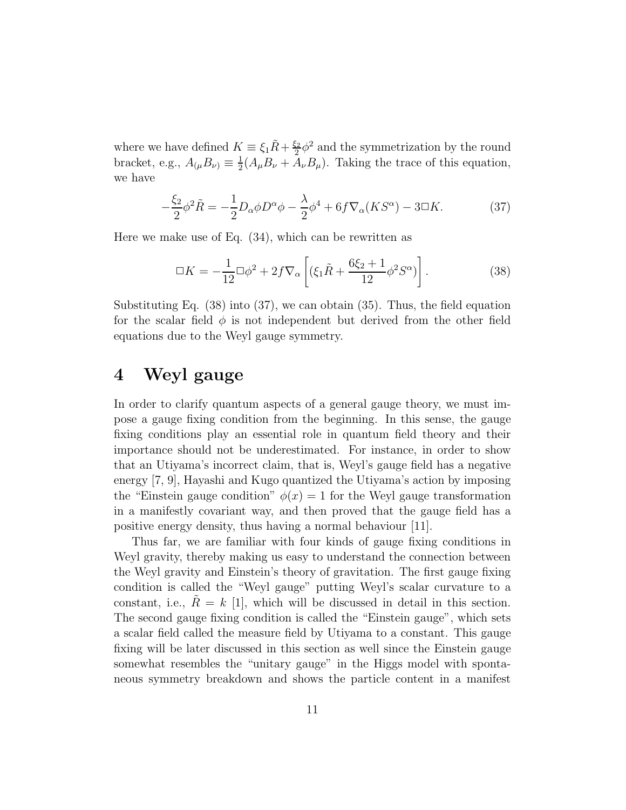where we have defined  $K \equiv \xi_1 \tilde{R} + \frac{\xi_2}{2}$  $\frac{\xi_2}{2}\phi^2$  and the symmetrization by the round bracket, e.g.,  $A_{(\mu}B_{\nu)} \equiv \frac{1}{2}$  $\frac{1}{2}(A_{\mu}B_{\nu}+A_{\nu}B_{\mu})$ . Taking the trace of this equation, we have

$$
-\frac{\xi_2}{2}\phi^2 \tilde{R} = -\frac{1}{2}D_\alpha \phi D^\alpha \phi - \frac{\lambda}{2}\phi^4 + 6f \nabla_\alpha (KS^\alpha) - 3\Box K. \tag{37}
$$

Here we make use of Eq. (34), which can be rewritten as

$$
\Box K = -\frac{1}{12}\Box\phi^2 + 2f\nabla_\alpha \left[ (\xi_1 \tilde{R} + \frac{6\xi_2 + 1}{12}\phi^2 S^\alpha) \right]. \tag{38}
$$

Substituting Eq. (38) into (37), we can obtain (35). Thus, the field equation for the scalar field  $\phi$  is not independent but derived from the other field equations due to the Weyl gauge symmetry.

## 4 Weyl gauge

In order to clarify quantum aspects of a general gauge theory, we must impose a gauge fixing condition from the beginning. In this sense, the gauge fixing conditions play an essential role in quantum field theory and their importance should not be underestimated. For instance, in order to show that an Utiyama's incorrect claim, that is, Weyl's gauge field has a negative energy [7, 9], Hayashi and Kugo quantized the Utiyama's action by imposing the "Einstein gauge condition"  $\phi(x) = 1$  for the Weyl gauge transformation in a manifestly covariant way, and then proved that the gauge field has a positive energy density, thus having a normal behaviour [11].

Thus far, we are familiar with four kinds of gauge fixing conditions in Weyl gravity, thereby making us easy to understand the connection between the Weyl gravity and Einstein's theory of gravitation. The first gauge fixing condition is called the "Weyl gauge" putting Weyl's scalar curvature to a constant, i.e.,  $R = k$  [1], which will be discussed in detail in this section. The second gauge fixing condition is called the "Einstein gauge", which sets a scalar field called the measure field by Utiyama to a constant. This gauge fixing will be later discussed in this section as well since the Einstein gauge somewhat resembles the "unitary gauge" in the Higgs model with spontaneous symmetry breakdown and shows the particle content in a manifest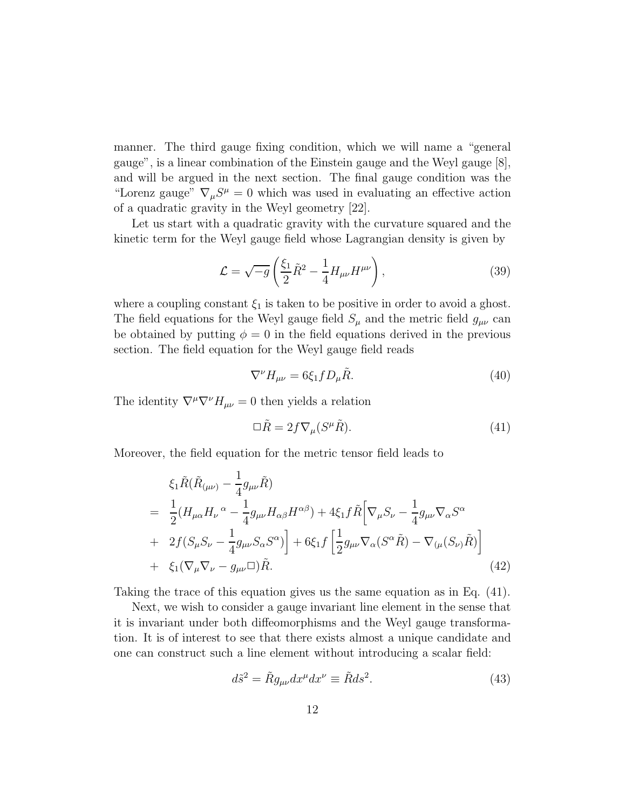manner. The third gauge fixing condition, which we will name a "general gauge", is a linear combination of the Einstein gauge and the Weyl gauge [8], and will be argued in the next section. The final gauge condition was the "Lorenz gauge"  $\nabla_{\mu}S^{\mu} = 0$  which was used in evaluating an effective action of a quadratic gravity in the Weyl geometry [22].

Let us start with a quadratic gravity with the curvature squared and the kinetic term for the Weyl gauge field whose Lagrangian density is given by

$$
\mathcal{L} = \sqrt{-g} \left( \frac{\xi_1}{2} \tilde{R}^2 - \frac{1}{4} H_{\mu\nu} H^{\mu\nu} \right),\tag{39}
$$

where a coupling constant  $\xi_1$  is taken to be positive in order to avoid a ghost. The field equations for the Weyl gauge field  $S_{\mu}$  and the metric field  $g_{\mu\nu}$  can be obtained by putting  $\phi = 0$  in the field equations derived in the previous section. The field equation for the Weyl gauge field reads

$$
\nabla^{\nu} H_{\mu\nu} = 6\xi_1 f D_{\mu} \tilde{R}.
$$
\n(40)

The identity  $\nabla^{\mu}\nabla^{\nu}H_{\mu\nu}=0$  then yields a relation

$$
\Box \tilde{R} = 2f \nabla_{\mu} (S^{\mu} \tilde{R}). \tag{41}
$$

Moreover, the field equation for the metric tensor field leads to

$$
\xi_1 \tilde{R} (\tilde{R}_{(\mu\nu)} - \frac{1}{4} g_{\mu\nu} \tilde{R})
$$
\n
$$
= \frac{1}{2} (H_{\mu\alpha} H_{\nu}{}^{\alpha} - \frac{1}{4} g_{\mu\nu} H_{\alpha\beta} H^{\alpha\beta}) + 4\xi_1 f \tilde{R} \Big[ \nabla_{\mu} S_{\nu} - \frac{1}{4} g_{\mu\nu} \nabla_{\alpha} S^{\alpha}
$$
\n
$$
+ 2f (S_{\mu} S_{\nu} - \frac{1}{4} g_{\mu\nu} S_{\alpha} S^{\alpha}) \Big] + 6\xi_1 f \Big[ \frac{1}{2} g_{\mu\nu} \nabla_{\alpha} (S^{\alpha} \tilde{R}) - \nabla_{(\mu} (S_{\nu)} \tilde{R}) \Big]
$$
\n
$$
+ \xi_1 (\nabla_{\mu} \nabla_{\nu} - g_{\mu\nu} \square) \tilde{R}.
$$
\n(42)

Taking the trace of this equation gives us the same equation as in Eq. (41).

Next, we wish to consider a gauge invariant line element in the sense that it is invariant under both diffeomorphisms and the Weyl gauge transformation. It is of interest to see that there exists almost a unique candidate and one can construct such a line element without introducing a scalar field:

$$
d\tilde{s}^2 = \tilde{R}g_{\mu\nu}dx^{\mu}dx^{\nu} \equiv \tilde{R}ds^2.
$$
 (43)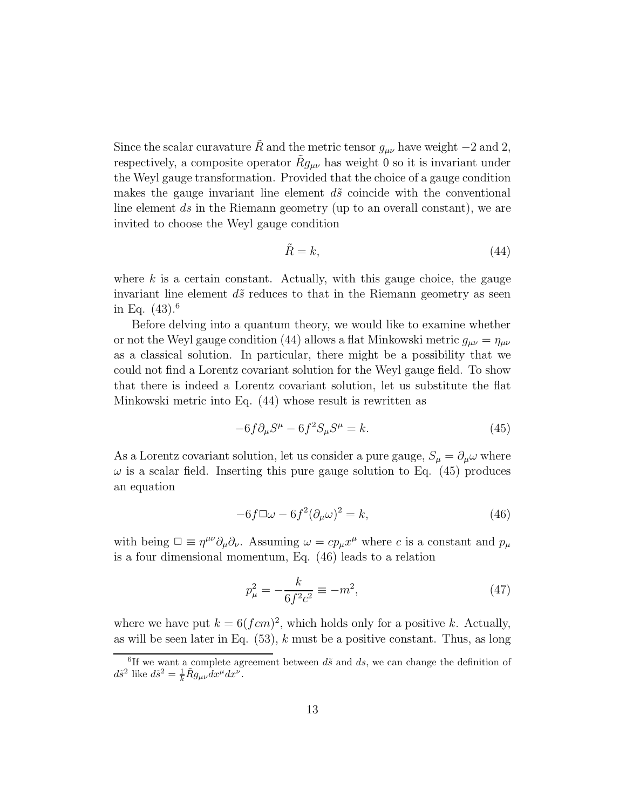Since the scalar curavature  $\tilde{R}$  and the metric tensor  $g_{\mu\nu}$  have weight  $-2$  and 2, respectively, a composite operator  $\tilde{R}g_{\mu\nu}$  has weight 0 so it is invariant under the Weyl gauge transformation. Provided that the choice of a gauge condition makes the gauge invariant line element  $d\tilde{s}$  coincide with the conventional line element ds in the Riemann geometry (up to an overall constant), we are invited to choose the Weyl gauge condition

$$
\tilde{R} = k,\tag{44}
$$

where  $k$  is a certain constant. Actually, with this gauge choice, the gauge invariant line element  $d\tilde{s}$  reduces to that in the Riemann geometry as seen in Eq.  $(43).<sup>6</sup>$ 

Before delving into a quantum theory, we would like to examine whether or not the Weyl gauge condition (44) allows a flat Minkowski metric  $g_{\mu\nu} = \eta_{\mu\nu}$ as a classical solution. In particular, there might be a possibility that we could not find a Lorentz covariant solution for the Weyl gauge field. To show that there is indeed a Lorentz covariant solution, let us substitute the flat Minkowski metric into Eq. (44) whose result is rewritten as

$$
-6f\partial_{\mu}S^{\mu} - 6f^2S_{\mu}S^{\mu} = k.\tag{45}
$$

As a Lorentz covariant solution, let us consider a pure gauge,  $S_{\mu} = \partial_{\mu}\omega$  where  $\omega$  is a scalar field. Inserting this pure gauge solution to Eq. (45) produces an equation

$$
-6f\Box\omega - 6f^2(\partial_\mu\omega)^2 = k,\tag{46}
$$

with being  $\Box \equiv \eta^{\mu\nu}\partial_{\mu}\partial_{\nu}$ . Assuming  $\omega = cp_{\mu}x^{\mu}$  where c is a constant and  $p_{\mu}$ is a four dimensional momentum, Eq. (46) leads to a relation

$$
p_{\mu}^{2} = -\frac{k}{6f^{2}c^{2}} \equiv -m^{2},\tag{47}
$$

where we have put  $k = 6(fcm)^2$ , which holds only for a positive k. Actually, as will be seen later in Eq.  $(53)$ , k must be a positive constant. Thus, as long

<sup>&</sup>lt;sup>6</sup>If we want a complete agreement between  $d\tilde{s}$  and  $ds$ , we can change the definition of  $d\tilde{s}^2$  like  $d\tilde{s}^2 = \frac{1}{k}\tilde{R}g_{\mu\nu}dx^{\mu}dx^{\nu}$ .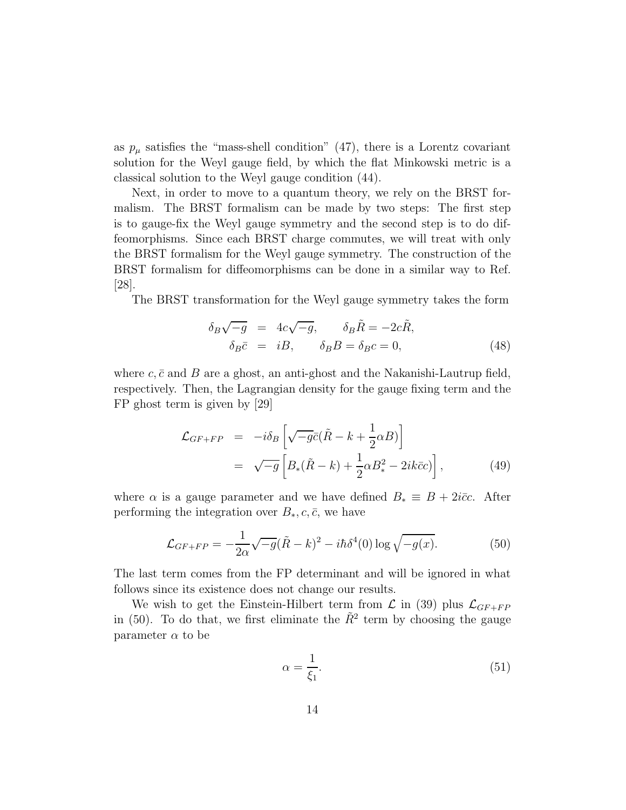as  $p_{\mu}$  satisfies the "mass-shell condition" (47), there is a Lorentz covariant solution for the Weyl gauge field, by which the flat Minkowski metric is a classical solution to the Weyl gauge condition (44).

Next, in order to move to a quantum theory, we rely on the BRST formalism. The BRST formalism can be made by two steps: The first step is to gauge-fix the Weyl gauge symmetry and the second step is to do diffeomorphisms. Since each BRST charge commutes, we will treat with only the BRST formalism for the Weyl gauge symmetry. The construction of the BRST formalism for diffeomorphisms can be done in a similar way to Ref. [28].

The BRST transformation for the Weyl gauge symmetry takes the form

$$
\delta_B \sqrt{-g} = 4c\sqrt{-g}, \qquad \delta_B \tilde{R} = -2c\tilde{R}, \n\delta_B \bar{c} = iB, \qquad \delta_B B = \delta_B c = 0,
$$
\n(48)

where  $c, \bar{c}$  and B are a ghost, an anti-ghost and the Nakanishi-Lautrup field, respectively. Then, the Lagrangian density for the gauge fixing term and the FP ghost term is given by [29]

$$
\mathcal{L}_{GF+FP} = -i\delta_B \left[ \sqrt{-g}\bar{c}(\tilde{R} - k + \frac{1}{2}\alpha B) \right]
$$
  
=  $\sqrt{-g} \left[ B_*(\tilde{R} - k) + \frac{1}{2}\alpha B_*^2 - 2ik\bar{c}c \right],$  (49)

where  $\alpha$  is a gauge parameter and we have defined  $B_* \equiv B + 2i\bar{c}c$ . After performing the integration over  $B_*, c, \bar{c}$ , we have

$$
\mathcal{L}_{GF+FP} = -\frac{1}{2\alpha}\sqrt{-g}(\tilde{R} - k)^2 - i\hbar\delta^4(0)\log\sqrt{-g(x)}.
$$
 (50)

The last term comes from the FP determinant and will be ignored in what follows since its existence does not change our results.

We wish to get the Einstein-Hilbert term from  $\mathcal{L}$  in (39) plus  $\mathcal{L}_{GF+FP}$ in (50). To do that, we first eliminate the  $\tilde{R}^2$  term by choosing the gauge parameter  $\alpha$  to be

$$
\alpha = \frac{1}{\xi_1}.\tag{51}
$$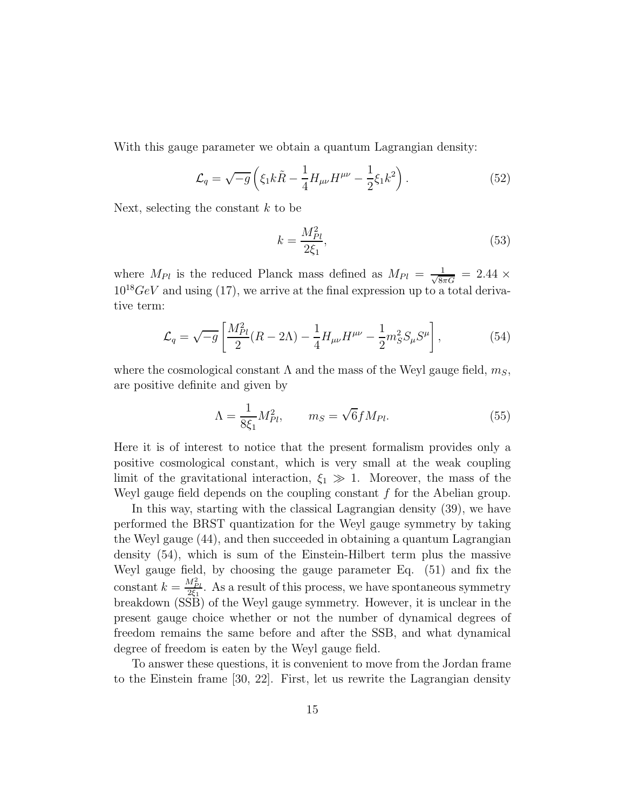With this gauge parameter we obtain a quantum Lagrangian density:

$$
\mathcal{L}_q = \sqrt{-g} \left( \xi_1 k \tilde{R} - \frac{1}{4} H_{\mu\nu} H^{\mu\nu} - \frac{1}{2} \xi_1 k^2 \right). \tag{52}
$$

Next, selecting the constant  $k$  to be

$$
k = \frac{M_{Pl}^2}{2\xi_1},\tag{53}
$$

where  $M_{Pl}$  is the reduced Planck mass defined as  $M_{Pl} = \frac{1}{\sqrt{8\pi G}} = 2.44 \times$  $10^{18}GeV$  and using (17), we arrive at the final expression up to a total derivative term:

$$
\mathcal{L}_q = \sqrt{-g} \left[ \frac{M_{Pl}^2}{2} (R - 2\Lambda) - \frac{1}{4} H_{\mu\nu} H^{\mu\nu} - \frac{1}{2} m_S^2 S_\mu S^\mu \right],\tag{54}
$$

where the cosmological constant  $\Lambda$  and the mass of the Weyl gauge field,  $m<sub>S</sub>$ , are positive definite and given by

$$
\Lambda = \frac{1}{8\xi_1} M_{Pl}^2, \qquad m_S = \sqrt{6} f M_{Pl}.
$$
\n(55)

Here it is of interest to notice that the present formalism provides only a positive cosmological constant, which is very small at the weak coupling limit of the gravitational interaction,  $\xi_1 \gg 1$ . Moreover, the mass of the Weyl gauge field depends on the coupling constant  $f$  for the Abelian group.

In this way, starting with the classical Lagrangian density (39), we have performed the BRST quantization for the Weyl gauge symmetry by taking the Weyl gauge (44), and then succeeded in obtaining a quantum Lagrangian density (54), which is sum of the Einstein-Hilbert term plus the massive Weyl gauge field, by choosing the gauge parameter Eq. (51) and fix the constant  $k = \frac{M_{Pl}^2}{2\xi_1}$ . As a result of this process, we have spontaneous symmetry breakdown (SSB) of the Weyl gauge symmetry. However, it is unclear in the present gauge choice whether or not the number of dynamical degrees of freedom remains the same before and after the SSB, and what dynamical degree of freedom is eaten by the Weyl gauge field.

To answer these questions, it is convenient to move from the Jordan frame to the Einstein frame [30, 22]. First, let us rewrite the Lagrangian density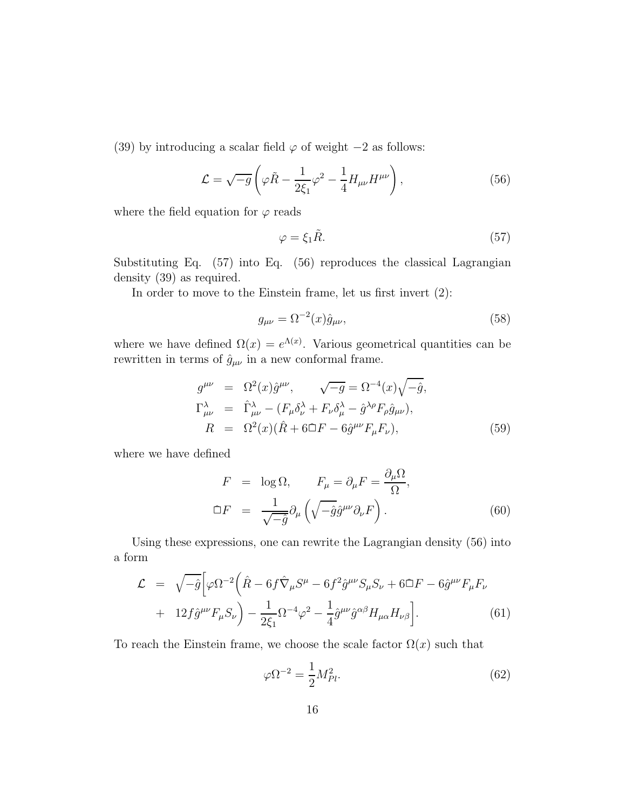(39) by introducing a scalar field  $\varphi$  of weight  $-2$  as follows:

$$
\mathcal{L} = \sqrt{-g} \left( \varphi \tilde{R} - \frac{1}{2\xi_1} \varphi^2 - \frac{1}{4} H_{\mu\nu} H^{\mu\nu} \right),\tag{56}
$$

where the field equation for  $\varphi$  reads

$$
\varphi = \xi_1 \tilde{R}.\tag{57}
$$

Substituting Eq. (57) into Eq. (56) reproduces the classical Lagrangian density (39) as required.

In order to move to the Einstein frame, let us first invert (2):

$$
g_{\mu\nu} = \Omega^{-2}(x)\hat{g}_{\mu\nu},\tag{58}
$$

where we have defined  $\Omega(x) = e^{\Lambda(x)}$ . Various geometrical quantities can be rewritten in terms of  $\hat{g}_{\mu\nu}$  in a new conformal frame.

$$
g^{\mu\nu} = \Omega^2(x)\hat{g}^{\mu\nu}, \qquad \sqrt{-g} = \Omega^{-4}(x)\sqrt{-\hat{g}},
$$
  
\n
$$
\Gamma^{\lambda}_{\mu\nu} = \hat{\Gamma}^{\lambda}_{\mu\nu} - (F_{\mu}\delta^{\lambda}_{\nu} + F_{\nu}\delta^{\lambda}_{\mu} - \hat{g}^{\lambda\rho}F_{\rho}\hat{g}_{\mu\nu}),
$$
  
\n
$$
R = \Omega^2(x)(\hat{R} + 6\hat{\Box}F - 6\hat{g}^{\mu\nu}F_{\mu}F_{\nu}),
$$
\n(59)

where we have defined

$$
F = \log \Omega, \qquad F_{\mu} = \partial_{\mu} F = \frac{\partial_{\mu} \Omega}{\Omega},
$$
  

$$
\Box F = \frac{1}{\sqrt{-\hat{g}}} \partial_{\mu} \left( \sqrt{-\hat{g}} \hat{g}^{\mu \nu} \partial_{\nu} F \right).
$$
 (60)

Using these expressions, one can rewrite the Lagrangian density (56) into a form

$$
\mathcal{L} = \sqrt{-\hat{g}} \Big[ \varphi \Omega^{-2} \Big( \hat{R} - 6f \hat{\nabla}_{\mu} S^{\mu} - 6f^{2} \hat{g}^{\mu\nu} S_{\mu} S_{\nu} + 6\Box F - 6\hat{g}^{\mu\nu} F_{\mu} F_{\nu} + 12f \hat{g}^{\mu\nu} F_{\mu} S_{\nu} \Big) - \frac{1}{2\xi_{1}} \Omega^{-4} \varphi^{2} - \frac{1}{4} \hat{g}^{\mu\nu} \hat{g}^{\alpha\beta} H_{\mu\alpha} H_{\nu\beta} \Big].
$$
 (61)

To reach the Einstein frame, we choose the scale factor  $\Omega(x)$  such that

$$
\varphi \Omega^{-2} = \frac{1}{2} M_{Pl}^2. \tag{62}
$$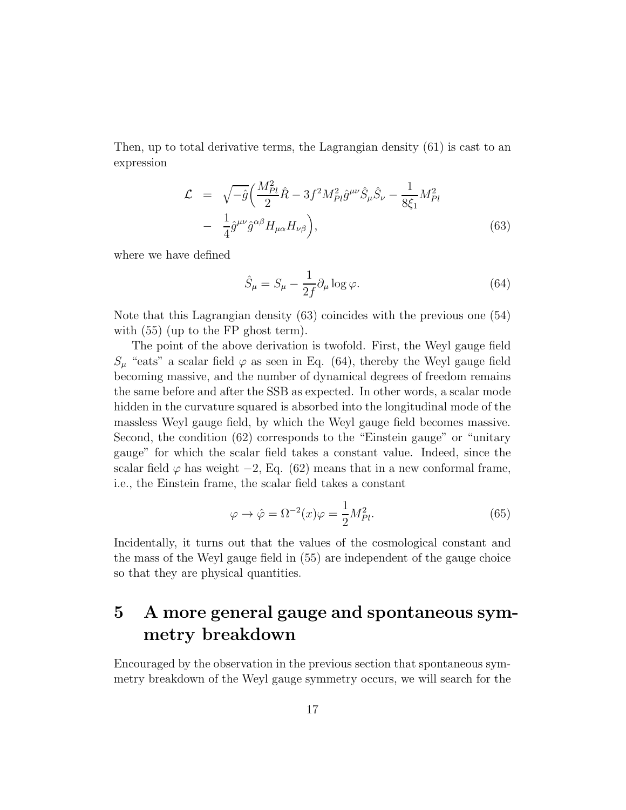Then, up to total derivative terms, the Lagrangian density (61) is cast to an expression

$$
\mathcal{L} = \sqrt{-\hat{g}} \left( \frac{M_{Pl}^2}{2} \hat{R} - 3f^2 M_{Pl}^2 \hat{g}^{\mu\nu} \hat{S}_{\mu} \hat{S}_{\nu} - \frac{1}{8\xi_1} M_{Pl}^2 - \frac{1}{4} \hat{g}^{\mu\nu} \hat{g}^{\alpha\beta} H_{\mu\alpha} H_{\nu\beta} \right),
$$
\n(63)

where we have defined

$$
\hat{S}_{\mu} = S_{\mu} - \frac{1}{2f} \partial_{\mu} \log \varphi.
$$
\n(64)

Note that this Lagrangian density (63) coincides with the previous one (54) with  $(55)$  (up to the FP ghost term).

The point of the above derivation is twofold. First, the Weyl gauge field  $S_u$  "eats" a scalar field  $\varphi$  as seen in Eq. (64), thereby the Weyl gauge field becoming massive, and the number of dynamical degrees of freedom remains the same before and after the SSB as expected. In other words, a scalar mode hidden in the curvature squared is absorbed into the longitudinal mode of the massless Weyl gauge field, by which the Weyl gauge field becomes massive. Second, the condition (62) corresponds to the "Einstein gauge" or "unitary gauge" for which the scalar field takes a constant value. Indeed, since the scalar field  $\varphi$  has weight −2, Eq. (62) means that in a new conformal frame, i.e., the Einstein frame, the scalar field takes a constant

$$
\varphi \to \hat{\varphi} = \Omega^{-2}(x)\varphi = \frac{1}{2}M_{Pl}^2.
$$
\n(65)

Incidentally, it turns out that the values of the cosmological constant and the mass of the Weyl gauge field in (55) are independent of the gauge choice so that they are physical quantities.

# 5 A more general gauge and spontaneous symmetry breakdown

Encouraged by the observation in the previous section that spontaneous symmetry breakdown of the Weyl gauge symmetry occurs, we will search for the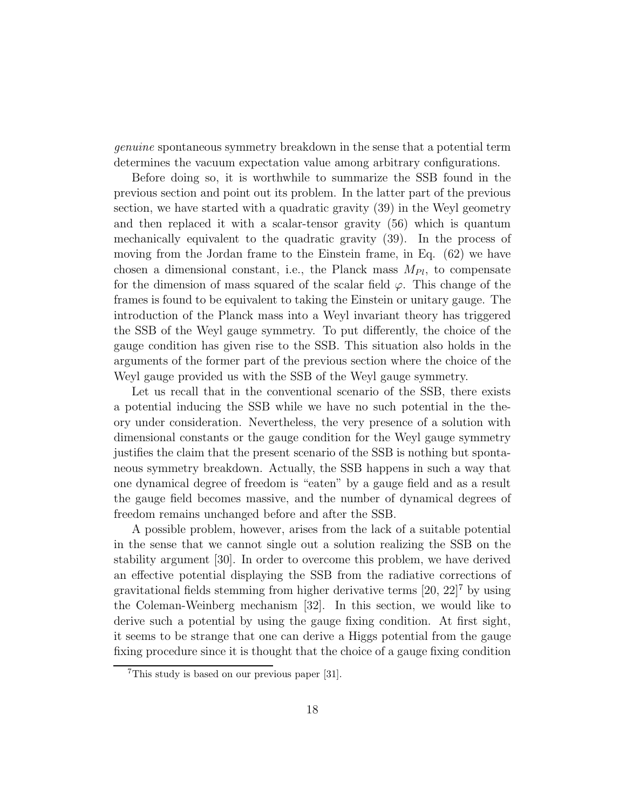genuine spontaneous symmetry breakdown in the sense that a potential term determines the vacuum expectation value among arbitrary configurations.

Before doing so, it is worthwhile to summarize the SSB found in the previous section and point out its problem. In the latter part of the previous section, we have started with a quadratic gravity (39) in the Weyl geometry and then replaced it with a scalar-tensor gravity (56) which is quantum mechanically equivalent to the quadratic gravity (39). In the process of moving from the Jordan frame to the Einstein frame, in Eq. (62) we have chosen a dimensional constant, i.e., the Planck mass  $M_{Pl}$ , to compensate for the dimension of mass squared of the scalar field  $\varphi$ . This change of the frames is found to be equivalent to taking the Einstein or unitary gauge. The introduction of the Planck mass into a Weyl invariant theory has triggered the SSB of the Weyl gauge symmetry. To put differently, the choice of the gauge condition has given rise to the SSB. This situation also holds in the arguments of the former part of the previous section where the choice of the Weyl gauge provided us with the SSB of the Weyl gauge symmetry.

Let us recall that in the conventional scenario of the SSB, there exists a potential inducing the SSB while we have no such potential in the theory under consideration. Nevertheless, the very presence of a solution with dimensional constants or the gauge condition for the Weyl gauge symmetry justifies the claim that the present scenario of the SSB is nothing but spontaneous symmetry breakdown. Actually, the SSB happens in such a way that one dynamical degree of freedom is "eaten" by a gauge field and as a result the gauge field becomes massive, and the number of dynamical degrees of freedom remains unchanged before and after the SSB.

A possible problem, however, arises from the lack of a suitable potential in the sense that we cannot single out a solution realizing the SSB on the stability argument [30]. In order to overcome this problem, we have derived an effective potential displaying the SSB from the radiative corrections of gravitational fields stemming from higher derivative terms  $[20, 22]^7$  by using the Coleman-Weinberg mechanism [32]. In this section, we would like to derive such a potential by using the gauge fixing condition. At first sight, it seems to be strange that one can derive a Higgs potential from the gauge fixing procedure since it is thought that the choice of a gauge fixing condition

<sup>7</sup>This study is based on our previous paper [31].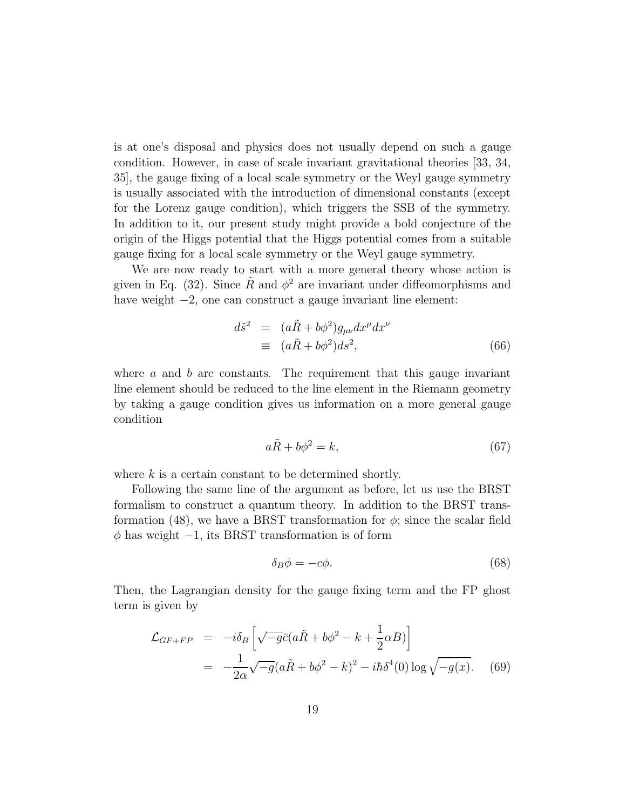is at one's disposal and physics does not usually depend on such a gauge condition. However, in case of scale invariant gravitational theories [33, 34, 35], the gauge fixing of a local scale symmetry or the Weyl gauge symmetry is usually associated with the introduction of dimensional constants (except for the Lorenz gauge condition), which triggers the SSB of the symmetry. In addition to it, our present study might provide a bold conjecture of the origin of the Higgs potential that the Higgs potential comes from a suitable gauge fixing for a local scale symmetry or the Weyl gauge symmetry.

We are now ready to start with a more general theory whose action is given in Eq. (32). Since  $\tilde{R}$  and  $\phi^2$  are invariant under diffeomorphisms and have weight −2, one can construct a gauge invariant line element:

$$
d\tilde{s}^2 = (a\tilde{R} + b\phi^2)g_{\mu\nu}dx^{\mu}dx^{\nu}
$$
  
\n
$$
\equiv (a\tilde{R} + b\phi^2)ds^2,
$$
\n(66)

where  $a$  and  $b$  are constants. The requirement that this gauge invariant line element should be reduced to the line element in the Riemann geometry by taking a gauge condition gives us information on a more general gauge condition

$$
a\tilde{R} + b\phi^2 = k,\tag{67}
$$

where  $k$  is a certain constant to be determined shortly.

Following the same line of the argument as before, let us use the BRST formalism to construct a quantum theory. In addition to the BRST transformation (48), we have a BRST transformation for  $\phi$ ; since the scalar field  $\phi$  has weight  $-1$ , its BRST transformation is of form

$$
\delta_B \phi = -c\phi. \tag{68}
$$

Then, the Lagrangian density for the gauge fixing term and the FP ghost term is given by

$$
\mathcal{L}_{GF+FP} = -i\delta_B \left[ \sqrt{-g}\bar{c}(a\tilde{R} + b\phi^2 - k + \frac{1}{2}\alpha B) \right]
$$
  
= 
$$
-\frac{1}{2\alpha}\sqrt{-g}(a\tilde{R} + b\phi^2 - k)^2 - i\hbar\delta^4(0)\log\sqrt{-g(x)}.
$$
 (69)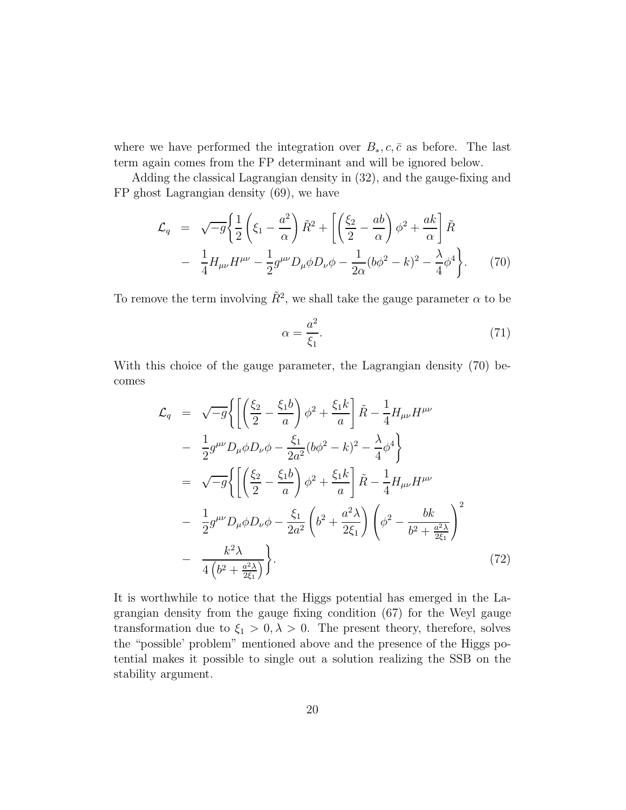where we have performed the integration over  $B_*, c, \bar{c}$  as before. The last term again comes from the FP determinant and will be ignored below.

Adding the classical Lagrangian density in (32), and the gauge-fixing and FP ghost Lagrangian density (69), we have

$$
\mathcal{L}_q = \sqrt{-g} \left\{ \frac{1}{2} \left( \xi_1 - \frac{a^2}{\alpha} \right) \tilde{R}^2 + \left[ \left( \frac{\xi_2}{2} - \frac{ab}{\alpha} \right) \phi^2 + \frac{ak}{\alpha} \right] \tilde{R} \right\}
$$

$$
- \frac{1}{4} H_{\mu\nu} H^{\mu\nu} - \frac{1}{2} g^{\mu\nu} D_{\mu} \phi D_{\nu} \phi - \frac{1}{2\alpha} (b\phi^2 - k)^2 - \frac{\lambda}{4} \phi^4 \right\}.
$$
(70)

To remove the term involving  $\tilde{R}^2$ , we shall take the gauge parameter  $\alpha$  to be

$$
\alpha = \frac{a^2}{\xi_1}.\tag{71}
$$

With this choice of the gauge parameter, the Lagrangian density (70) becomes

$$
\mathcal{L}_{q} = \sqrt{-g} \left\{ \left[ \left( \frac{\xi_{2}}{2} - \frac{\xi_{1}b}{a} \right) \phi^{2} + \frac{\xi_{1}k}{a} \right] \tilde{R} - \frac{1}{4} H_{\mu\nu} H^{\mu\nu} \right. \\ - \frac{1}{2} g^{\mu\nu} D_{\mu} \phi D_{\nu} \phi - \frac{\xi_{1}}{2a^{2}} (b\phi^{2} - k)^{2} - \frac{\lambda}{4} \phi^{4} \right\} \\ = \sqrt{-g} \left\{ \left[ \left( \frac{\xi_{2}}{2} - \frac{\xi_{1}b}{a} \right) \phi^{2} + \frac{\xi_{1}k}{a} \right] \tilde{R} - \frac{1}{4} H_{\mu\nu} H^{\mu\nu} \right. \\ - \frac{1}{2} g^{\mu\nu} D_{\mu} \phi D_{\nu} \phi - \frac{\xi_{1}}{2a^{2}} \left( b^{2} + \frac{a^{2}\lambda}{2\xi_{1}} \right) \left( \phi^{2} - \frac{bk}{b^{2} + \frac{a^{2}\lambda}{2\xi_{1}}} \right)^{2} \\ - \frac{k^{2}\lambda}{4 \left( b^{2} + \frac{a^{2}\lambda}{2\xi_{1}} \right)} \right\} . \tag{72}
$$

It is worthwhile to notice that the Higgs potential has emerged in the Lagrangian density from the gauge fixing condition (67) for the Weyl gauge transformation due to  $\xi_1 > 0, \lambda > 0$ . The present theory, therefore, solves the "possible' problem" mentioned above and the presence of the Higgs potential makes it possible to single out a solution realizing the SSB on the stability argument.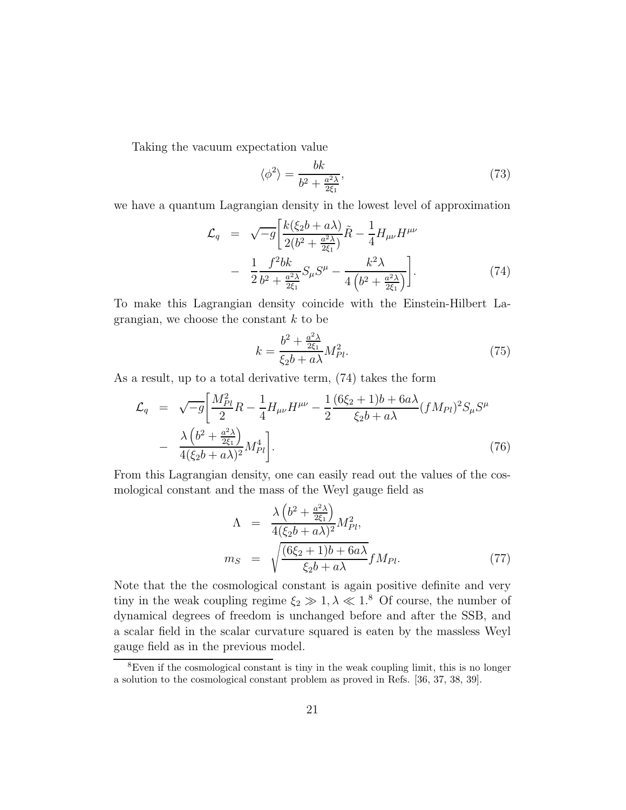Taking the vacuum expectation value

$$
\langle \phi^2 \rangle = \frac{bk}{b^2 + \frac{a^2 \lambda}{2\xi_1}},\tag{73}
$$

we have a quantum Lagrangian density in the lowest level of approximation

$$
\mathcal{L}_{q} = \sqrt{-g} \left[ \frac{k(\xi_{2}b + a\lambda)}{2(b^{2} + \frac{a^{2}\lambda}{2\xi_{1}})} \tilde{R} - \frac{1}{4} H_{\mu\nu} H^{\mu\nu} - \frac{1}{2} \frac{f^{2}bk}{b^{2} + \frac{a^{2}\lambda}{2\xi_{1}}} S_{\mu} S^{\mu} - \frac{k^{2}\lambda}{4(b^{2} + \frac{a^{2}\lambda}{2\xi_{1}})} \right].
$$
\n(74)

To make this Lagrangian density coincide with the Einstein-Hilbert Lagrangian, we choose the constant  $k$  to be

$$
k = \frac{b^2 + \frac{a^2 \lambda}{2\xi_1}}{\xi_2 b + a\lambda} M_{Pl}^2.
$$
 (75)

As a result, up to a total derivative term, (74) takes the form

$$
\mathcal{L}_{q} = \sqrt{-g} \left[ \frac{M_{Pl}^{2}}{2} R - \frac{1}{4} H_{\mu\nu} H^{\mu\nu} - \frac{1}{2} \frac{(6\xi_{2} + 1)b + 6a\lambda}{\xi_{2}b + a\lambda} (fM_{Pl})^{2} S_{\mu} S^{\mu} - \frac{\lambda \left(b^{2} + \frac{a^{2}\lambda}{2\xi_{1}}\right)}{4(\xi_{2}b + a\lambda)^{2}} M_{Pl}^{4} \right].
$$
\n(76)

From this Lagrangian density, one can easily read out the values of the cosmological constant and the mass of the Weyl gauge field as

$$
\Lambda = \frac{\lambda \left(b^2 + \frac{a^2 \lambda}{2\xi_1}\right)}{4(\xi_2 b + a\lambda)^2} M_{Pl}^2,
$$
\n
$$
m_S = \sqrt{\frac{(6\xi_2 + 1)b + 6a\lambda}{\xi_2 b + a\lambda}} f M_{Pl}.
$$
\n(77)

Note that the the cosmological constant is again positive definite and very tiny in the weak coupling regime  $\xi_2 \gg 1, \lambda \ll 1.8$  Of course, the number of dynamical degrees of freedom is unchanged before and after the SSB, and a scalar field in the scalar curvature squared is eaten by the massless Weyl gauge field as in the previous model.

<sup>8</sup>Even if the cosmological constant is tiny in the weak coupling limit, this is no longer a solution to the cosmological constant problem as proved in Refs. [36, 37, 38, 39].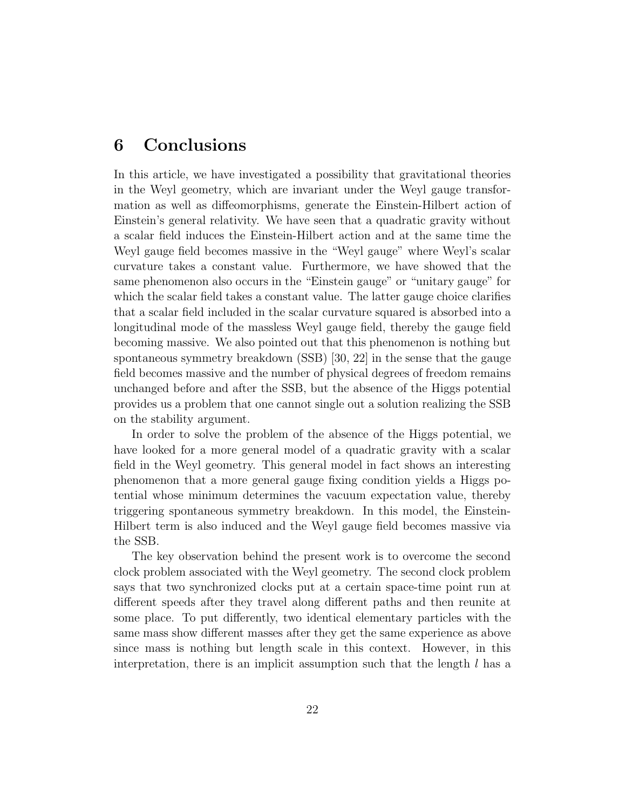#### 6 Conclusions

In this article, we have investigated a possibility that gravitational theories in the Weyl geometry, which are invariant under the Weyl gauge transformation as well as diffeomorphisms, generate the Einstein-Hilbert action of Einstein's general relativity. We have seen that a quadratic gravity without a scalar field induces the Einstein-Hilbert action and at the same time the Weyl gauge field becomes massive in the "Weyl gauge" where Weyl's scalar curvature takes a constant value. Furthermore, we have showed that the same phenomenon also occurs in the "Einstein gauge" or "unitary gauge" for which the scalar field takes a constant value. The latter gauge choice clarifies that a scalar field included in the scalar curvature squared is absorbed into a longitudinal mode of the massless Weyl gauge field, thereby the gauge field becoming massive. We also pointed out that this phenomenon is nothing but spontaneous symmetry breakdown (SSB) [30, 22] in the sense that the gauge field becomes massive and the number of physical degrees of freedom remains unchanged before and after the SSB, but the absence of the Higgs potential provides us a problem that one cannot single out a solution realizing the SSB on the stability argument.

In order to solve the problem of the absence of the Higgs potential, we have looked for a more general model of a quadratic gravity with a scalar field in the Weyl geometry. This general model in fact shows an interesting phenomenon that a more general gauge fixing condition yields a Higgs potential whose minimum determines the vacuum expectation value, thereby triggering spontaneous symmetry breakdown. In this model, the Einstein-Hilbert term is also induced and the Weyl gauge field becomes massive via the SSB.

The key observation behind the present work is to overcome the second clock problem associated with the Weyl geometry. The second clock problem says that two synchronized clocks put at a certain space-time point run at different speeds after they travel along different paths and then reunite at some place. To put differently, two identical elementary particles with the same mass show different masses after they get the same experience as above since mass is nothing but length scale in this context. However, in this interpretation, there is an implicit assumption such that the length  $l$  has a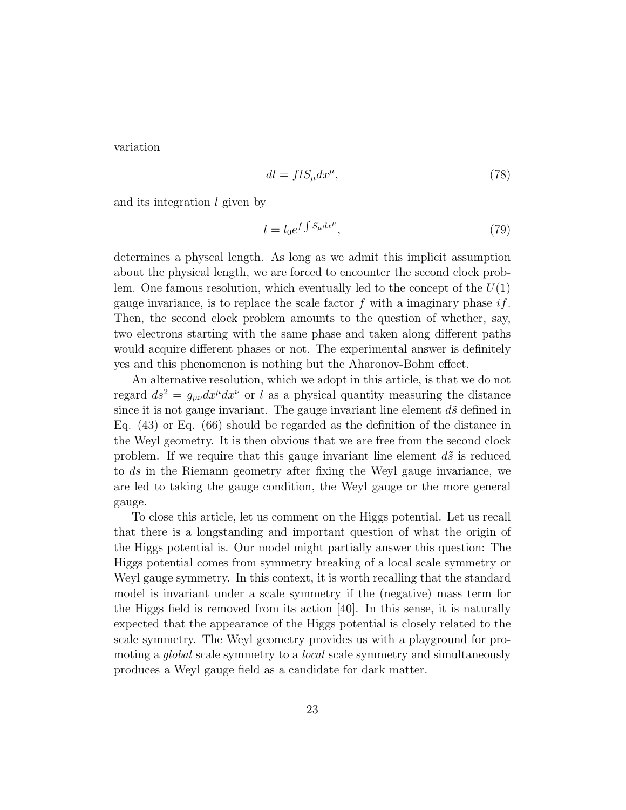variation

$$
dl = flS_{\mu}dx^{\mu},\tag{78}
$$

and its integration  $l$  given by

$$
l = l_0 e^{f \int S_\mu dx^\mu},\tag{79}
$$

determines a physcal length. As long as we admit this implicit assumption about the physical length, we are forced to encounter the second clock problem. One famous resolution, which eventually led to the concept of the  $U(1)$ gauge invariance, is to replace the scale factor  $f$  with a imaginary phase if. Then, the second clock problem amounts to the question of whether, say, two electrons starting with the same phase and taken along different paths would acquire different phases or not. The experimental answer is definitely yes and this phenomenon is nothing but the Aharonov-Bohm effect.

An alternative resolution, which we adopt in this article, is that we do not regard  $ds^2 = g_{\mu\nu}dx^{\mu}dx^{\nu}$  or l as a physical quantity measuring the distance since it is not gauge invariant. The gauge invariant line element  $d\tilde{s}$  defined in Eq. (43) or Eq. (66) should be regarded as the definition of the distance in the Weyl geometry. It is then obvious that we are free from the second clock problem. If we require that this gauge invariant line element  $d\tilde{s}$  is reduced to ds in the Riemann geometry after fixing the Weyl gauge invariance, we are led to taking the gauge condition, the Weyl gauge or the more general gauge.

To close this article, let us comment on the Higgs potential. Let us recall that there is a longstanding and important question of what the origin of the Higgs potential is. Our model might partially answer this question: The Higgs potential comes from symmetry breaking of a local scale symmetry or Weyl gauge symmetry. In this context, it is worth recalling that the standard model is invariant under a scale symmetry if the (negative) mass term for the Higgs field is removed from its action [40]. In this sense, it is naturally expected that the appearance of the Higgs potential is closely related to the scale symmetry. The Weyl geometry provides us with a playground for promoting a *global* scale symmetry to a *local* scale symmetry and simultaneously produces a Weyl gauge field as a candidate for dark matter.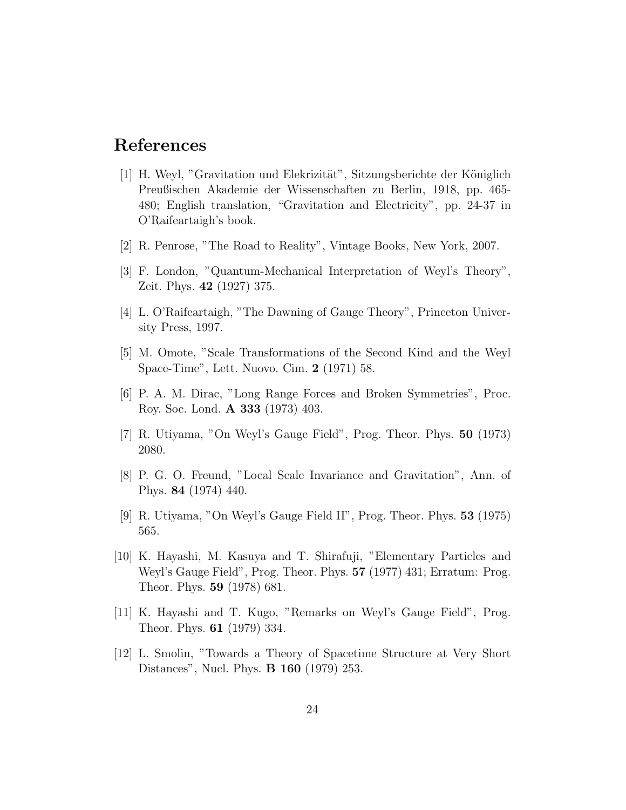## References

- [1] H. Weyl, "Gravitation und Elekrizität", Sitzungsberichte der Königlich Preußischen Akademie der Wissenschaften zu Berlin, 1918, pp. 465- 480; English translation, "Gravitation and Electricity", pp. 24-37 in O'Raifeartaigh's book.
- [2] R. Penrose, "The Road to Reality", Vintage Books, New York, 2007.
- [3] F. London, "Quantum-Mechanical Interpretation of Weyl's Theory", Zeit. Phys. 42 (1927) 375.
- [4] L. O'Raifeartaigh, "The Dawning of Gauge Theory", Princeton University Press, 1997.
- [5] M. Omote, "Scale Transformations of the Second Kind and the Weyl Space-Time", Lett. Nuovo. Cim. 2 (1971) 58.
- [6] P. A. M. Dirac, "Long Range Forces and Broken Symmetries", Proc. Roy. Soc. Lond. A 333 (1973) 403.
- [7] R. Utiyama, "On Weyl's Gauge Field", Prog. Theor. Phys. 50 (1973) 2080.
- [8] P. G. O. Freund, "Local Scale Invariance and Gravitation", Ann. of Phys. 84 (1974) 440.
- [9] R. Utiyama, "On Weyl's Gauge Field II", Prog. Theor. Phys. 53 (1975) 565.
- [10] K. Hayashi, M. Kasuya and T. Shirafuji, "Elementary Particles and Weyl's Gauge Field", Prog. Theor. Phys. 57 (1977) 431; Erratum: Prog. Theor. Phys. 59 (1978) 681.
- [11] K. Hayashi and T. Kugo, "Remarks on Weyl's Gauge Field", Prog. Theor. Phys. 61 (1979) 334.
- [12] L. Smolin, "Towards a Theory of Spacetime Structure at Very Short Distances", Nucl. Phys. B 160 (1979) 253.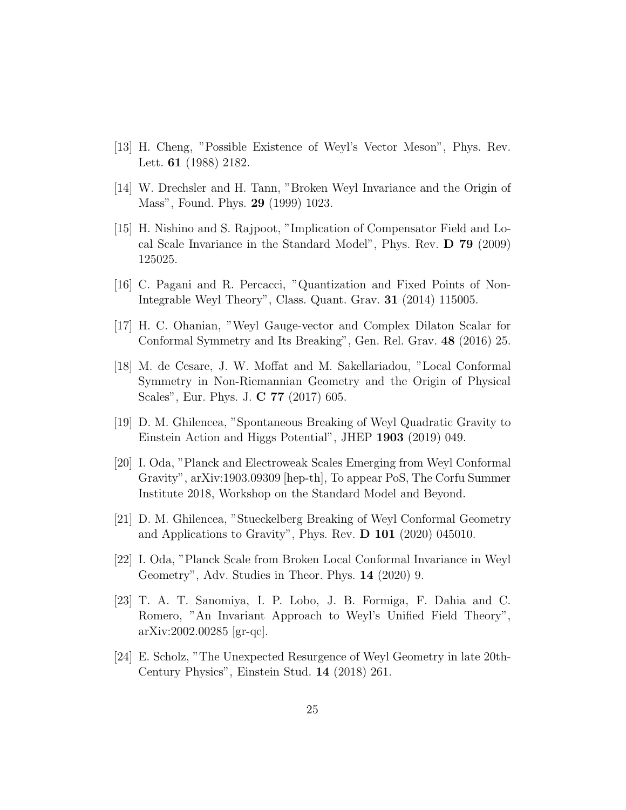- [13] H. Cheng, "Possible Existence of Weyl's Vector Meson", Phys. Rev. Lett. 61 (1988) 2182.
- [14] W. Drechsler and H. Tann, "Broken Weyl Invariance and the Origin of Mass", Found. Phys. 29 (1999) 1023.
- [15] H. Nishino and S. Rajpoot, "Implication of Compensator Field and Local Scale Invariance in the Standard Model", Phys. Rev. D 79 (2009) 125025.
- [16] C. Pagani and R. Percacci, "Quantization and Fixed Points of Non-Integrable Weyl Theory", Class. Quant. Grav. 31 (2014) 115005.
- [17] H. C. Ohanian, "Weyl Gauge-vector and Complex Dilaton Scalar for Conformal Symmetry and Its Breaking", Gen. Rel. Grav. 48 (2016) 25.
- [18] M. de Cesare, J. W. Moffat and M. Sakellariadou, "Local Conformal Symmetry in Non-Riemannian Geometry and the Origin of Physical Scales", Eur. Phys. J. C 77 (2017) 605.
- [19] D. M. Ghilencea, "Spontaneous Breaking of Weyl Quadratic Gravity to Einstein Action and Higgs Potential", JHEP 1903 (2019) 049.
- [20] I. Oda, "Planck and Electroweak Scales Emerging from Weyl Conformal Gravity", arXiv:1903.09309 [hep-th], To appear PoS, The Corfu Summer Institute 2018, Workshop on the Standard Model and Beyond.
- [21] D. M. Ghilencea, "Stueckelberg Breaking of Weyl Conformal Geometry and Applications to Gravity", Phys. Rev. D 101 (2020) 045010.
- [22] I. Oda, "Planck Scale from Broken Local Conformal Invariance in Weyl Geometry", Adv. Studies in Theor. Phys. 14 (2020) 9.
- [23] T. A. T. Sanomiya, I. P. Lobo, J. B. Formiga, F. Dahia and C. Romero, "An Invariant Approach to Weyl's Unified Field Theory", arXiv:2002.00285 [gr-qc].
- [24] E. Scholz, "The Unexpected Resurgence of Weyl Geometry in late 20th-Century Physics", Einstein Stud. 14 (2018) 261.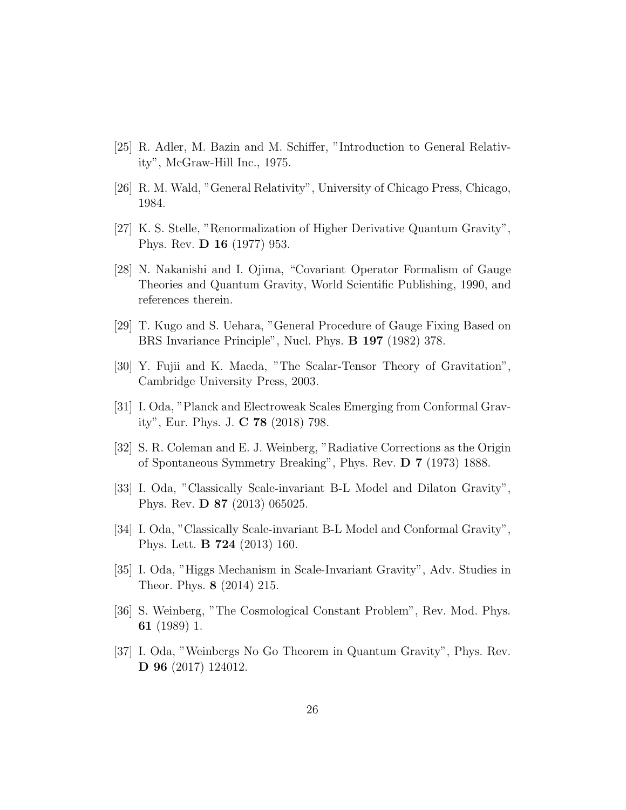- [25] R. Adler, M. Bazin and M. Schiffer, "Introduction to General Relativity", McGraw-Hill Inc., 1975.
- [26] R. M. Wald, "General Relativity", University of Chicago Press, Chicago, 1984.
- [27] K. S. Stelle, "Renormalization of Higher Derivative Quantum Gravity", Phys. Rev. D 16 (1977) 953.
- [28] N. Nakanishi and I. Ojima, "Covariant Operator Formalism of Gauge Theories and Quantum Gravity, World Scientific Publishing, 1990, and references therein.
- [29] T. Kugo and S. Uehara, "General Procedure of Gauge Fixing Based on BRS Invariance Principle", Nucl. Phys. B 197 (1982) 378.
- [30] Y. Fujii and K. Maeda, "The Scalar-Tensor Theory of Gravitation", Cambridge University Press, 2003.
- [31] I. Oda, "Planck and Electroweak Scales Emerging from Conformal Gravity", Eur. Phys. J. C 78 (2018) 798.
- [32] S. R. Coleman and E. J. Weinberg, "Radiative Corrections as the Origin of Spontaneous Symmetry Breaking", Phys. Rev. D 7 (1973) 1888.
- [33] I. Oda, "Classically Scale-invariant B-L Model and Dilaton Gravity", Phys. Rev. D 87 (2013) 065025.
- [34] I. Oda, "Classically Scale-invariant B-L Model and Conformal Gravity", Phys. Lett. B 724 (2013) 160.
- [35] I. Oda, "Higgs Mechanism in Scale-Invariant Gravity", Adv. Studies in Theor. Phys. 8 (2014) 215.
- [36] S. Weinberg, "The Cosmological Constant Problem", Rev. Mod. Phys. 61 (1989) 1.
- [37] I. Oda, "Weinbergs No Go Theorem in Quantum Gravity", Phys. Rev. D 96 (2017) 124012.